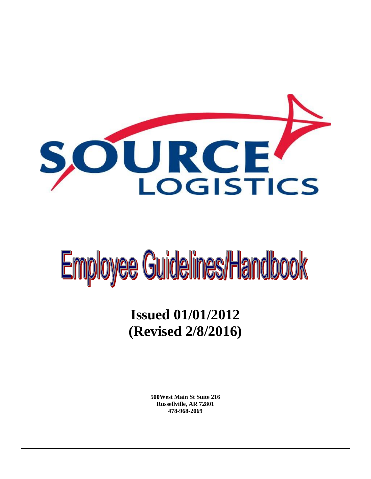

# Employee Guidelines/Handbook

# **Issued 01/01/2012 (Revised 2/8/2016)**

**500West Main St Suite 216 Russellville, AR 72801 478-968-2069**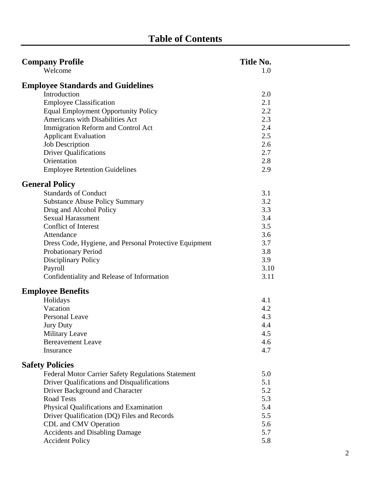| <b>Company Profile</b>                                    | Title No. |
|-----------------------------------------------------------|-----------|
| Welcome                                                   | 1.0       |
| <b>Employee Standards and Guidelines</b>                  |           |
| Introduction                                              | 2.0       |
| <b>Employee Classification</b>                            | 2.1       |
| <b>Equal Employment Opportunity Policy</b>                | 2.2       |
| Americans with Disabilities Act                           | 2.3       |
| Immigration Reform and Control Act                        | 2.4       |
| <b>Applicant Evaluation</b>                               | 2.5       |
| <b>Job Description</b>                                    | 2.6       |
| <b>Driver Qualifications</b>                              | 2.7       |
| Orientation                                               | 2.8       |
| <b>Employee Retention Guidelines</b>                      | 2.9       |
| <b>General Policy</b>                                     |           |
| <b>Standards of Conduct</b>                               | 3.1       |
| <b>Substance Abuse Policy Summary</b>                     | 3.2       |
| Drug and Alcohol Policy                                   | 3.3       |
| <b>Sexual Harassment</b>                                  | 3.4       |
| <b>Conflict of Interest</b>                               | 3.5       |
| Attendance                                                | 3.6       |
| Dress Code, Hygiene, and Personal Protective Equipment    | 3.7       |
| <b>Probationary Period</b>                                | 3.8       |
| <b>Disciplinary Policy</b>                                | 3.9       |
| Payroll                                                   | 3.10      |
| Confidentiality and Release of Information                | 3.11      |
| <b>Employee Benefits</b>                                  |           |
| Holidays                                                  | 4.1       |
| Vacation                                                  | 4.2       |
| <b>Personal Leave</b>                                     | 4.3       |
| <b>Jury Duty</b>                                          | 4.4       |
| Military Leave                                            | 4.5       |
| <b>Bereavement Leave</b>                                  | 4.6       |
| Insurance                                                 | 4.7       |
| <b>Safety Policies</b>                                    |           |
| <b>Federal Motor Carrier Safety Regulations Statement</b> | 5.0       |
| Driver Qualifications and Disqualifications               | 5.1       |
| Driver Background and Character                           | 5.2       |
| <b>Road Tests</b>                                         | 5.3       |
| Physical Qualifications and Examination                   | 5.4       |
| Driver Qualification (DQ) Files and Records               | 5.5       |
| CDL and CMV Operation                                     | 5.6       |
| <b>Accidents and Disabling Damage</b>                     | 5.7       |
| <b>Accident Policy</b>                                    | 5.8       |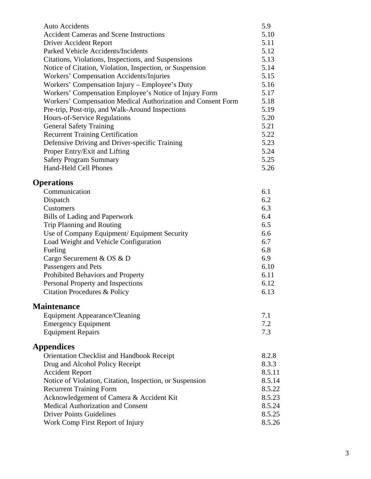| <b>Auto Accidents</b>                                        | 5.9    |
|--------------------------------------------------------------|--------|
| <b>Accident Cameras and Scene Instructions</b>               | 5.10   |
| Driver Accident Report                                       | 5.11   |
| Parked Vehicle Accidents/Incidents                           | 5.12   |
| Citations, Violations, Inspections, and Suspensions          | 5.13   |
| Notice of Citation, Violation, Inspection, or Suspension     | 5.14   |
| Workers' Compensation Accidents/Injuries                     | 5.15   |
| Workers' Compensation Injury – Employee's Duty               | 5.16   |
| Workers' Compensation Employee's Notice of Injury Form       | 5.17   |
| Workers' Compensation Medical Authorization and Consent Form | 5.18   |
| Pre-trip, Post-trip, and Walk-Around Inspections             | 5.19   |
| Hours-of-Service Regulations                                 | 5.20   |
| <b>General Safety Training</b>                               | 5.21   |
| <b>Recurrent Training Certification</b>                      | 5.22   |
| Defensive Driving and Driver-specific Training               | 5.23   |
| Proper Entry/Exit and Lifting                                | 5.24   |
| <b>Safety Program Summary</b>                                | 5.25   |
| <b>Hand-Held Cell Phones</b>                                 | 5.26   |
|                                                              |        |
| <b>Operations</b>                                            |        |
| Communication                                                | 6.1    |
| Dispatch                                                     | 6.2    |
| Customers                                                    | 6.3    |
| <b>Bills of Lading and Paperwork</b>                         | 6.4    |
| Trip Planning and Routing                                    | 6.5    |
| Use of Company Equipment/ Equipment Security                 | 6.6    |
| Load Weight and Vehicle Configuration                        | 6.7    |
| Fueling                                                      | 6.8    |
| Cargo Securement & OS & D                                    | 6.9    |
| Passengers and Pets                                          | 6.10   |
| Prohibited Behaviors and Property                            | 6.11   |
| Personal Property and Inspections                            | 6.12   |
| Citation Procedures & Policy                                 | 6.13   |
|                                                              |        |
| <b>Maintenance</b>                                           |        |
| <b>Equipment Appearance/Cleaning</b>                         | 7.1    |
| <b>Emergency Equipment</b>                                   | 7.2    |
| <b>Equipment Repairs</b>                                     | 7.3    |
|                                                              |        |
| <b>Appendices</b>                                            |        |
| Orientation Checklist and Handbook Receipt                   | 8.2.8  |
| Drug and Alcohol Policy Receipt                              | 8.3.3  |
| <b>Accident Report</b>                                       | 8.5.11 |
| Notice of Violation, Citation, Inspection, or Suspension     | 8.5.14 |
| <b>Recurrent Training Form</b>                               | 8.5.22 |
| Acknowledgement of Camera & Accident Kit                     | 8.5.23 |
| Medical Authorization and Consent                            | 8.5.24 |
| <b>Driver Points Guidelines</b>                              | 8.5.25 |
| Work Comp First Report of Injury                             | 8.5.26 |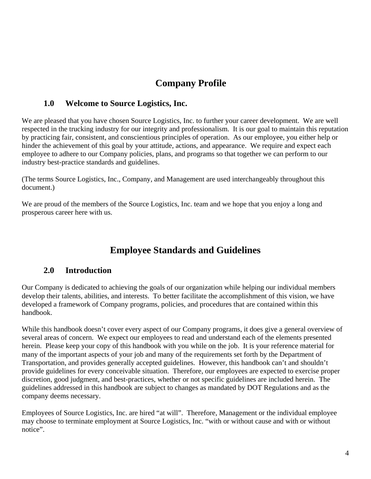# **Company Profile**

#### **1.0 Welcome to Source Logistics, Inc.**

We are pleased that you have chosen Source Logistics, Inc. to further your career development. We are well respected in the trucking industry for our integrity and professionalism. It is our goal to maintain this reputation by practicing fair, consistent, and conscientious principles of operation. As our employee, you either help or hinder the achievement of this goal by your attitude, actions, and appearance. We require and expect each employee to adhere to our Company policies, plans, and programs so that together we can perform to our industry best-practice standards and guidelines.

(The terms Source Logistics, Inc., Company, and Management are used interchangeably throughout this document.)

We are proud of the members of the Source Logistics, Inc. team and we hope that you enjoy a long and prosperous career here with us.

# **Employee Standards and Guidelines**

## **2.0 Introduction**

Our Company is dedicated to achieving the goals of our organization while helping our individual members develop their talents, abilities, and interests. To better facilitate the accomplishment of this vision, we have developed a framework of Company programs, policies, and procedures that are contained within this handbook.

While this handbook doesn't cover every aspect of our Company programs, it does give a general overview of several areas of concern. We expect our employees to read and understand each of the elements presented herein. Please keep your copy of this handbook with you while on the job. It is your reference material for many of the important aspects of your job and many of the requirements set forth by the Department of Transportation, and provides generally accepted guidelines. However, this handbook can't and shouldn't provide guidelines for every conceivable situation. Therefore, our employees are expected to exercise proper discretion, good judgment, and best-practices, whether or not specific guidelines are included herein. The guidelines addressed in this handbook are subject to changes as mandated by DOT Regulations and as the company deems necessary.

Employees of Source Logistics, Inc. are hired "at will". Therefore, Management or the individual employee may choose to terminate employment at Source Logistics, Inc. "with or without cause and with or without notice".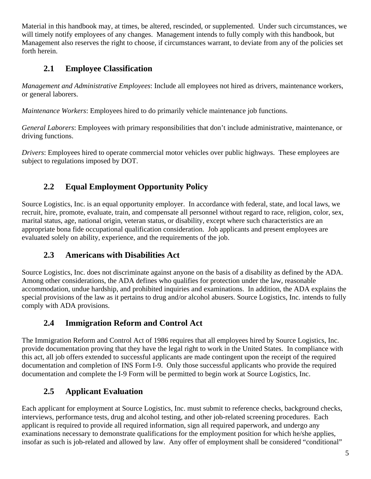Material in this handbook may, at times, be altered, rescinded, or supplemented. Under such circumstances, we will timely notify employees of any changes. Management intends to fully comply with this handbook, but Management also reserves the right to choose, if circumstances warrant, to deviate from any of the policies set forth herein.

## **2.1 Employee Classification**

*Management and Administrative Employees*: Include all employees not hired as drivers, maintenance workers, or general laborers.

*Maintenance Workers*: Employees hired to do primarily vehicle maintenance job functions.

*General Laborers*: Employees with primary responsibilities that don't include administrative, maintenance, or driving functions.

*Drivers*: Employees hired to operate commercial motor vehicles over public highways. These employees are subject to regulations imposed by DOT.

## **2.2 Equal Employment Opportunity Policy**

Source Logistics, Inc. is an equal opportunity employer. In accordance with federal, state, and local laws, we recruit, hire, promote, evaluate, train, and compensate all personnel without regard to race, religion, color, sex, marital status, age, national origin, veteran status, or disability, except where such characteristics are an appropriate bona fide occupational qualification consideration. Job applicants and present employees are evaluated solely on ability, experience, and the requirements of the job.

## **2.3 Americans with Disabilities Act**

Source Logistics, Inc. does not discriminate against anyone on the basis of a disability as defined by the ADA. Among other considerations, the ADA defines who qualifies for protection under the law, reasonable accommodation, undue hardship, and prohibited inquiries and examinations. In addition, the ADA explains the special provisions of the law as it pertains to drug and/or alcohol abusers. Source Logistics, Inc. intends to fully comply with ADA provisions.

## **2.4 Immigration Reform and Control Act**

The Immigration Reform and Control Act of 1986 requires that all employees hired by Source Logistics, Inc. provide documentation proving that they have the legal right to work in the United States. In compliance with this act, all job offers extended to successful applicants are made contingent upon the receipt of the required documentation and completion of INS Form I-9. Only those successful applicants who provide the required documentation and complete the I-9 Form will be permitted to begin work at Source Logistics, Inc.

## **2.5 Applicant Evaluation**

Each applicant for employment at Source Logistics, Inc. must submit to reference checks, background checks, interviews, performance tests, drug and alcohol testing, and other job-related screening procedures. Each applicant is required to provide all required information, sign all required paperwork, and undergo any examinations necessary to demonstrate qualifications for the employment position for which he/she applies, insofar as such is job-related and allowed by law. Any offer of employment shall be considered "conditional"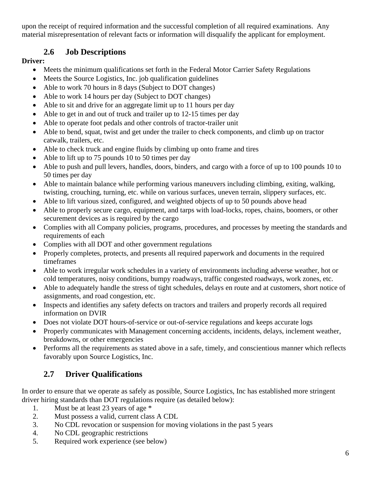upon the receipt of required information and the successful completion of all required examinations. Any material misrepresentation of relevant facts or information will disqualify the applicant for employment.

## **2.6 Job Descriptions**

#### **Driver:**

- Meets the minimum qualifications set forth in the Federal Motor Carrier Safety Regulations
- Meets the Source Logistics, Inc. job qualification guidelines
- Able to work 70 hours in 8 days (Subject to DOT changes)
- Able to work 14 hours per day (Subject to DOT changes)
- Able to sit and drive for an aggregate limit up to 11 hours per day
- Able to get in and out of truck and trailer up to 12-15 times per day
- Able to operate foot pedals and other controls of tractor-trailer unit
- Able to bend, squat, twist and get under the trailer to check components, and climb up on tractor catwalk, trailers, etc.
- Able to check truck and engine fluids by climbing up onto frame and tires
- Able to lift up to 75 pounds 10 to 50 times per day
- Able to push and pull levers, handles, doors, binders, and cargo with a force of up to 100 pounds 10 to 50 times per day
- Able to maintain balance while performing various maneuvers including climbing, exiting, walking, twisting, crouching, turning, etc. while on various surfaces, uneven terrain, slippery surfaces, etc.
- Able to lift various sized, configured, and weighted objects of up to 50 pounds above head
- Able to properly secure cargo, equipment, and tarps with load-locks, ropes, chains, boomers, or other securement devices as is required by the cargo
- Complies with all Company policies, programs, procedures, and processes by meeting the standards and requirements of each
- Complies with all DOT and other government regulations
- Properly completes, protects, and presents all required paperwork and documents in the required timeframes
- Able to work irregular work schedules in a variety of environments including adverse weather, hot or cold temperatures, noisy conditions, bumpy roadways, traffic congested roadways, work zones, etc.
- Able to adequately handle the stress of tight schedules, delays en route and at customers, short notice of assignments, and road congestion, etc.
- Inspects and identifies any safety defects on tractors and trailers and properly records all required information on DVIR
- Does not violate DOT hours-of-service or out-of-service regulations and keeps accurate logs
- Properly communicates with Management concerning accidents, incidents, delays, inclement weather, breakdowns, or other emergencies
- Performs all the requirements as stated above in a safe, timely, and conscientious manner which reflects favorably upon Source Logistics, Inc.

# **2.7 Driver Qualifications**

In order to ensure that we operate as safely as possible, Source Logistics, Inc has established more stringent driver hiring standards than DOT regulations require (as detailed below):

- 1. Must be at least 23 years of age \*
- 2. Must possess a valid, current class A CDL
- 3. No CDL revocation or suspension for moving violations in the past 5 years
- 4. No CDL geographic restrictions
- 5. Required work experience (see below)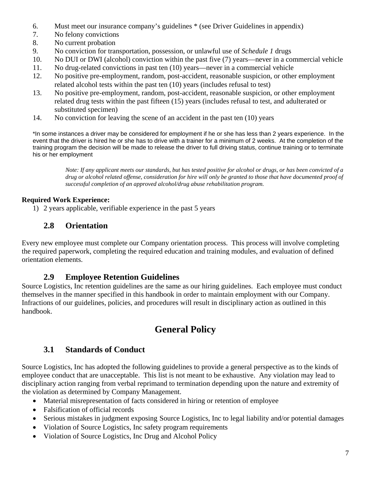- 6. Must meet our insurance company's guidelines \* (see Driver Guidelines in appendix)
- 7. No felony convictions
- 8. No current probation
- 9. No conviction for transportation, possession, or unlawful use of *Schedule 1* drugs
- 10. No DUI or DWI (alcohol) conviction within the past five (7) years—never in a commercial vehicle
- 11. No drug-related convictions in past ten (10) years—never in a commercial vehicle
- 12. No positive pre-employment, random, post-accident, reasonable suspicion, or other employment related alcohol tests within the past ten (10) years (includes refusal to test)
- 13. No positive pre-employment, random, post-accident, reasonable suspicion, or other employment related drug tests within the past fifteen (15) years (includes refusal to test, and adulterated or substituted specimen)
- 14. No conviction for leaving the scene of an accident in the past ten (10) years

\*In some instances a driver may be considered for employment if he or she has less than 2 years experience. In the event that the driver is hired he or she has to drive with a trainer for a minimum of 2 weeks. At the completion of the training program the decision will be made to release the driver to full driving status, continue training or to terminate his or her employment

> *Note: If any applicant meets our standards, but has tested positive for alcohol or drugs, or has been convicted of a drug or alcohol related offense, consideration for hire will only be granted to those that have documented proof of successful completion of an approved alcohol/drug abuse rehabilitation program.*

#### **Required Work Experience:**

1) 2 years applicable, verifiable experience in the past 5 years

#### **2.8 Orientation**

Every new employee must complete our Company orientation process. This process will involve completing the required paperwork, completing the required education and training modules, and evaluation of defined orientation elements.

#### **2.9 Employee Retention Guidelines**

Source Logistics, Inc retention guidelines are the same as our hiring guidelines. Each employee must conduct themselves in the manner specified in this handbook in order to maintain employment with our Company. Infractions of our guidelines, policies, and procedures will result in disciplinary action as outlined in this handbook.

# **General Policy**

#### **3.1 Standards of Conduct**

Source Logistics, Inc has adopted the following guidelines to provide a general perspective as to the kinds of employee conduct that are unacceptable. This list is not meant to be exhaustive. Any violation may lead to disciplinary action ranging from verbal reprimand to termination depending upon the nature and extremity of the violation as determined by Company Management.

- Material misrepresentation of facts considered in hiring or retention of employee
- Falsification of official records
- Serious mistakes in judgment exposing Source Logistics, Inc to legal liability and/or potential damages
- Violation of Source Logistics, Inc safety program requirements
- Violation of Source Logistics, Inc Drug and Alcohol Policy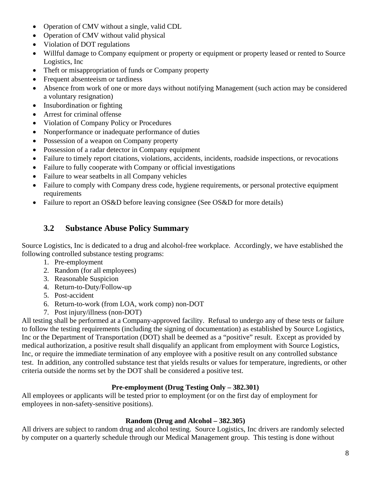- Operation of CMV without a single, valid CDL
- Operation of CMV without valid physical
- Violation of DOT regulations
- Willful damage to Company equipment or property or equipment or property leased or rented to Source Logistics, Inc
- Theft or misappropriation of funds or Company property
- Frequent absenteeism or tardiness
- Absence from work of one or more days without notifying Management (such action may be considered a voluntary resignation)
- Insubordination or fighting
- Arrest for criminal offense
- Violation of Company Policy or Procedures
- Nonperformance or inadequate performance of duties
- Possession of a weapon on Company property
- Possession of a radar detector in Company equipment
- Failure to timely report citations, violations, accidents, incidents, roadside inspections, or revocations
- Failure to fully cooperate with Company or official investigations
- Failure to wear seatbelts in all Company vehicles
- Failure to comply with Company dress code, hygiene requirements, or personal protective equipment requirements
- Failure to report an OS&D before leaving consignee (See OS&D for more details)

#### **3.2 Substance Abuse Policy Summary**

Source Logistics, Inc is dedicated to a drug and alcohol-free workplace. Accordingly, we have established the following controlled substance testing programs:

- 1. Pre-employment
- 2. Random (for all employees)
- 3. Reasonable Suspicion
- 4. Return-to-Duty/Follow-up
- 5. Post-accident
- 6. Return-to-work (from LOA, work comp) non-DOT
- 7. Post injury/illness (non-DOT)

All testing shall be performed at a Company-approved facility. Refusal to undergo any of these tests or failure to follow the testing requirements (including the signing of documentation) as established by Source Logistics, Inc or the Department of Transportation (DOT) shall be deemed as a "positive" result. Except as provided by medical authorization, a positive result shall disqualify an applicant from employment with Source Logistics, Inc, or require the immediate termination of any employee with a positive result on any controlled substance test. In addition, any controlled substance test that yields results or values for temperature, ingredients, or other criteria outside the norms set by the DOT shall be considered a positive test.

#### **Pre-employment (Drug Testing Only – 382.301)**

All employees or applicants will be tested prior to employment (or on the first day of employment for employees in non-safety-sensitive positions).

#### **Random (Drug and Alcohol – 382.305)**

All drivers are subject to random drug and alcohol testing. Source Logistics, Inc drivers are randomly selected by computer on a quarterly schedule through our Medical Management group. This testing is done without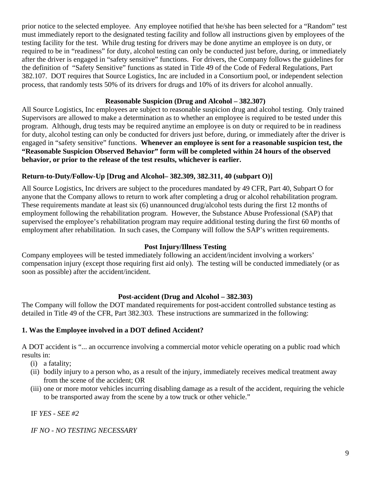prior notice to the selected employee. Any employee notified that he/she has been selected for a "Random" test must immediately report to the designated testing facility and follow all instructions given by employees of the testing facility for the test. While drug testing for drivers may be done anytime an employee is on duty, or required to be in "readiness" for duty, alcohol testing can only be conducted just before, during, or immediately after the driver is engaged in "safety sensitive" functions. For drivers, the Company follows the guidelines for the definition of "Safety Sensitive" functions as stated in Title 49 of the Code of Federal Regulations, Part 382.107. DOT requires that Source Logistics, Inc are included in a Consortium pool, or independent selection process, that randomly tests 50% of its drivers for drugs and 10% of its drivers for alcohol annually.

#### **Reasonable Suspicion (Drug and Alcohol – 382.307)**

All Source Logistics, Inc employees are subject to reasonable suspicion drug and alcohol testing. Only trained Supervisors are allowed to make a determination as to whether an employee is required to be tested under this program. Although, drug tests may be required anytime an employee is on duty or required to be in readiness for duty, alcohol testing can only be conducted for drivers just before, during, or immediately after the driver is engaged in "safety sensitive" functions. **Whenever an employee is sent for a reasonable suspicion test, the "Reasonable Suspicion Observed Behavior" form will be completed within 24 hours of the observed behavior, or prior to the release of the test results, whichever is earlier.** 

#### **Return-to-Duty/Follow-Up [Drug and Alcohol– 382.309, 382.311, 40 (subpart O)]**

All Source Logistics, Inc drivers are subject to the procedures mandated by 49 CFR, Part 40, Subpart O for anyone that the Company allows to return to work after completing a drug or alcohol rehabilitation program. These requirements mandate at least six (6) unannounced drug/alcohol tests during the first 12 months of employment following the rehabilitation program. However, the Substance Abuse Professional (SAP) that supervised the employee's rehabilitation program may require additional testing during the first 60 months of employment after rehabilitation. In such cases, the Company will follow the SAP's written requirements.

#### **Post Injury/Illness Testing**

Company employees will be tested immediately following an accident/incident involving a workers' compensation injury (except those requiring first aid only). The testing will be conducted immediately (or as soon as possible) after the accident/incident.

#### **Post-accident (Drug and Alcohol – 382.303)**

The Company will follow the DOT mandated requirements for post-accident controlled substance testing as detailed in Title 49 of the CFR, Part 382.303. These instructions are summarized in the following:

#### **1. Was the Employee involved in a DOT defined Accident?**

A DOT accident is "... an occurrence involving a commercial motor vehicle operating on a public road which results in:

- (i) a fatality;
- (ii) bodily injury to a person who, as a result of the injury, immediately receives medical treatment away from the scene of the accident; OR
- (iii) one or more motor vehicles incurring disabling damage as a result of the accident, requiring the vehicle to be transported away from the scene by a tow truck or other vehicle."

IF *YES - SEE #2* 

 *IF NO - NO TESTING NECESSARY*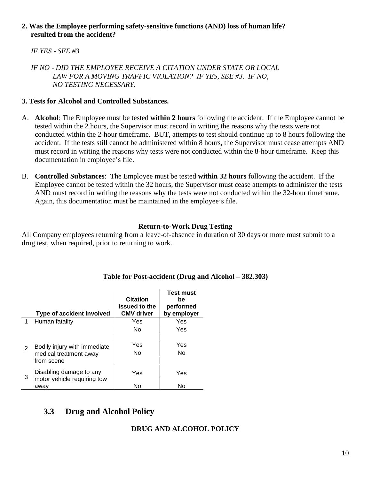#### **2. Was the Employee performing safety-sensitive functions (AND) loss of human life? resulted from the accident?**

#### *IF YES - SEE #3*

 *IF NO - DID THE EMPLOYEE RECEIVE A CITATION UNDER STATE OR LOCAL LAW FOR A MOVING TRAFFIC VIOLATION? IF YES, SEE #3. IF NO, NO TESTING NECESSARY.* 

#### **3. Tests for Alcohol and Controlled Substances.**

- A. **Alcohol**: The Employee must be tested **within 2 hours** following the accident. If the Employee cannot be tested within the 2 hours, the Supervisor must record in writing the reasons why the tests were not conducted within the 2-hour timeframe. BUT, attempts to test should continue up to 8 hours following the accident. If the tests still cannot be administered within 8 hours, the Supervisor must cease attempts AND must record in writing the reasons why tests were not conducted within the 8-hour timeframe. Keep this documentation in employee's file.
- B. **Controlled Substances**: The Employee must be tested **within 32 hours** following the accident. If the Employee cannot be tested within the 32 hours, the Supervisor must cease attempts to administer the tests AND must record in writing the reasons why the tests were not conducted within the 32-hour timeframe. Again, this documentation must be maintained in the employee's file.

#### **Return-to-Work Drug Testing**

All Company employees returning from a leave-of-absence in duration of 30 days or more must submit to a drug test, when required, prior to returning to work.

|               | Type of accident involved                                            | <b>Citation</b><br>issued to the<br><b>CMV</b> driver | <b>Test must</b><br>be<br>performed<br>by employer |
|---------------|----------------------------------------------------------------------|-------------------------------------------------------|----------------------------------------------------|
| 1             | Human fatality                                                       | Yes                                                   | Yes                                                |
|               |                                                                      | Nο                                                    | Yes                                                |
| $\mathcal{P}$ | Bodily injury with immediate<br>medical treatment away<br>from scene | Yes<br>No.                                            | Yes<br>No.                                         |
| 3             | Disabling damage to any<br>motor vehicle requiring tow<br>awav       | Yes<br>No                                             | Yes<br>No                                          |

#### **Table for Post-accident (Drug and Alcohol – 382.303)**

## **3.3 Drug and Alcohol Policy**

#### **DRUG AND ALCOHOL POLICY**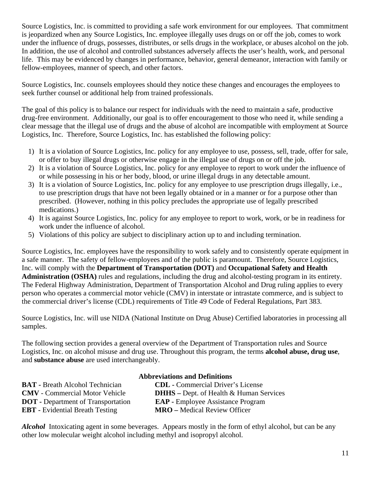Source Logistics, Inc. is committed to providing a safe work environment for our employees. That commitment is jeopardized when any Source Logistics, Inc. employee illegally uses drugs on or off the job, comes to work under the influence of drugs, possesses, distributes, or sells drugs in the workplace, or abuses alcohol on the job. In addition, the use of alcohol and controlled substances adversely affects the user's health, work, and personal life. This may be evidenced by changes in performance, behavior, general demeanor, interaction with family or fellow-employees, manner of speech, and other factors.

Source Logistics, Inc. counsels employees should they notice these changes and encourages the employees to seek further counsel or additional help from trained professionals.

The goal of this policy is to balance our respect for individuals with the need to maintain a safe, productive drug-free environment. Additionally, our goal is to offer encouragement to those who need it, while sending a clear message that the illegal use of drugs and the abuse of alcohol are incompatible with employment at Source Logistics, Inc. Therefore, Source Logistics, Inc. has established the following policy:

- 1) It is a violation of Source Logistics, Inc. policy for any employee to use, possess, sell, trade, offer for sale, or offer to buy illegal drugs or otherwise engage in the illegal use of drugs on or off the job.
- 2) It is a violation of Source Logistics, Inc. policy for any employee to report to work under the influence of or while possessing in his or her body, blood, or urine illegal drugs in any detectable amount.
- 3) It is a violation of Source Logistics, Inc. policy for any employee to use prescription drugs illegally, i.e., to use prescription drugs that have not been legally obtained or in a manner or for a purpose other than prescribed. (However, nothing in this policy precludes the appropriate use of legally prescribed medications.)
- 4) It is against Source Logistics, Inc. policy for any employee to report to work, work, or be in readiness for work under the influence of alcohol.
- 5) Violations of this policy are subject to disciplinary action up to and including termination.

Source Logistics, Inc. employees have the responsibility to work safely and to consistently operate equipment in a safe manner. The safety of fellow-employees and of the public is paramount. Therefore, Source Logistics, Inc. will comply with the **Department of Transportation (DOT)** and **Occupational Safety and Health Administration (OSHA)** rules and regulations, including the drug and alcohol-testing program in its entirety. The Federal Highway Administration, Department of Transportation Alcohol and Drug ruling applies to every person who operates a commercial motor vehicle (CMV) in interstate or intrastate commerce, and is subject to the commercial driver's license (CDL) requirements of Title 49 Code of Federal Regulations, Part 383.

Source Logistics, Inc. will use NIDA (National Institute on Drug Abuse) Certified laboratories in processing all samples.

The following section provides a general overview of the Department of Transportation rules and Source Logistics, Inc. on alcohol misuse and drug use. Throughout this program, the terms **alcohol abuse, drug use**, and **substance abuse** are used interchangeably.

|                                           | <b>Abbreviations and Definitions</b>              |
|-------------------------------------------|---------------------------------------------------|
| <b>BAT</b> - Breath Alcohol Technician    | <b>CDL</b> - Commercial Driver's License          |
| <b>CMV</b> - Commercial Motor Vehicle     | <b>DHHS</b> – Dept. of Health $\&$ Human Services |
| <b>DOT</b> - Department of Transportation | <b>EAP</b> - Employee Assistance Program          |
| <b>EBT</b> - Evidential Breath Testing    | <b>MRO</b> – Medical Review Officer               |

*Alcohol* Intoxicating agent in some beverages. Appears mostly in the form of ethyl alcohol, but can be any other low molecular weight alcohol including methyl and isopropyl alcohol.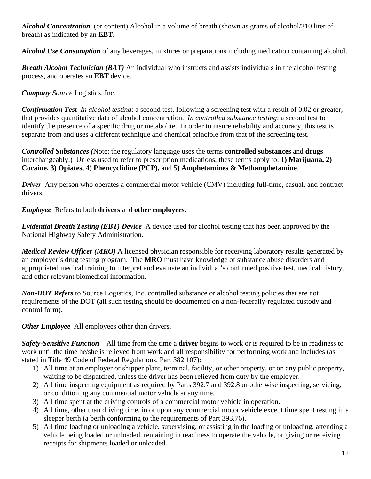*Alcohol Concentration* (or content) Alcohol in a volume of breath (shown as grams of alcohol/210 liter of breath) as indicated by an **EBT**.

*Alcohol Use Consumption* of any beverages, mixtures or preparations including medication containing alcohol.

*Breath Alcohol Technician (BAT)* An individual who instructs and assists individuals in the alcohol testing process, and operates an **EBT** device.

*Company Source* Logistics, Inc.

*Confirmation Test In alcohol testing*: a second test, following a screening test with a result of 0.02 or greater, that provides quantitative data of alcohol concentration. *In controlled substance testing*: a second test to identify the presence of a specific drug or metabolite. In order to insure reliability and accuracy, this test is separate from and uses a different technique and chemical principle from that of the screening test.

*Controlled Substances (*Note: the regulatory language uses the terms **controlled substances** and **drugs**  interchangeably.) Unless used to refer to prescription medications, these terms apply to: **1) Marijuana, 2) Cocaine, 3) Opiates, 4) Phencyclidine (PCP),** and **5) Amphetamines & Methamphetamine**.

*Driver* Any person who operates a commercial motor vehicle (CMV) including full-time, casual, and contract drivers.

*Employee* Refers to both **drivers** and **other employees**.

*Evidential Breath Testing (EBT) Device* A device used for alcohol testing that has been approved by the National Highway Safety Administration.

*Medical Review Officer (MRO)* A licensed physician responsible for receiving laboratory results generated by an employer's drug testing program. The **MRO** must have knowledge of substance abuse disorders and appropriated medical training to interpret and evaluate an individual's confirmed positive test, medical history, and other relevant biomedical information.

*Non-DOT Refers* to Source Logistics, Inc. controlled substance or alcohol testing policies that are not requirements of the DOT (all such testing should be documented on a non-federally-regulated custody and control form).

*Other Employee* All employees other than drivers.

*Safety-Sensitive Function* All time from the time a **driver** begins to work or is required to be in readiness to work until the time he/she is relieved from work and all responsibility for performing work and includes (as stated in Title 49 Code of Federal Regulations, Part 382.107):

- 1) All time at an employer or shipper plant, terminal, facility, or other property, or on any public property, waiting to be dispatched, unless the driver has been relieved from duty by the employer.
- 2) All time inspecting equipment as required by Parts 392.7 and 392.8 or otherwise inspecting, servicing, or conditioning any commercial motor vehicle at any time.
- 3) All time spent at the driving controls of a commercial motor vehicle in operation.
- 4) All time, other than driving time, in or upon any commercial motor vehicle except time spent resting in a sleeper berth (a berth conforming to the requirements of Part 393.76).
- 5) All time loading or unloading a vehicle, supervising, or assisting in the loading or unloading, attending a vehicle being loaded or unloaded, remaining in readiness to operate the vehicle, or giving or receiving receipts for shipments loaded or unloaded.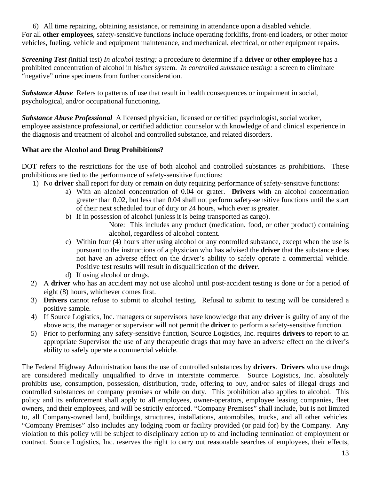6) All time repairing, obtaining assistance, or remaining in attendance upon a disabled vehicle. For all **other employees**, safety-sensitive functions include operating forklifts, front-end loaders, or other motor vehicles, fueling, vehicle and equipment maintenance, and mechanical, electrical, or other equipment repairs.

*Screening Test (*initial test) *In alcohol testing:* a procedure to determine if a **driver** or **other employee** has a prohibited concentration of alcohol in his/her system. *In controlled substance testing:* a screen to eliminate "negative" urine specimens from further consideration.

*Substance Abuse* Refers to patterns of use that result in health consequences or impairment in social, psychological, and/or occupational functioning.

*Substance Abuse Professional* A licensed physician, licensed or certified psychologist, social worker, employee assistance professional, or certified addiction counselor with knowledge of and clinical experience in the diagnosis and treatment of alcohol and controlled substance, and related disorders.

#### **What are the Alcohol and Drug Prohibitions?**

DOT refers to the restrictions for the use of both alcohol and controlled substances as prohibitions. These prohibitions are tied to the performance of safety-sensitive functions:

- 1) No **driver** shall report for duty or remain on duty requiring performance of safety-sensitive functions:
	- a) With an alcohol concentration of 0.04 or grater. **Drivers** with an alcohol concentration greater than 0.02, but less than 0.04 shall not perform safety-sensitive functions until the start of their next scheduled tour of duty or 24 hours, which ever is greater.
	- b) If in possession of alcohol (unless it is being transported as cargo).

Note: This includes any product (medication, food, or other product) containing alcohol, regardless of alcohol content.

- c) Within four (4) hours after using alcohol or any controlled substance, except when the use is pursuant to the instructions of a physician who has advised the **driver** that the substance does not have an adverse effect on the driver's ability to safely operate a commercial vehicle. Positive test results will result in disqualification of the **driver**.
- d) If using alcohol or drugs.
- 2) A **driver** who has an accident may not use alcohol until post-accident testing is done or for a period of eight (8) hours, whichever comes first.
- 3) **Drivers** cannot refuse to submit to alcohol testing. Refusal to submit to testing will be considered a positive sample.
- 4) If Source Logistics, Inc. managers or supervisors have knowledge that any **driver** is guilty of any of the above acts, the manager or supervisor will not permit the **driver** to perform a safety-sensitive function.
- 5) Prior to performing any safety-sensitive function, Source Logistics, Inc. requires **drivers** to report to an appropriate Supervisor the use of any therapeutic drugs that may have an adverse effect on the driver's ability to safely operate a commercial vehicle.

The Federal Highway Administration bans the use of controlled substances by **drivers**. **Drivers** who use drugs are considered medically unqualified to drive in interstate commerce. Source Logistics, Inc. absolutely prohibits use, consumption, possession, distribution, trade, offering to buy, and/or sales of illegal drugs and controlled substances on company premises or while on duty. This prohibition also applies to alcohol. This policy and its enforcement shall apply to all employees, owner-operators, employee leasing companies, fleet owners, and their employees, and will be strictly enforced. "Company Premises" shall include, but is not limited to, all Company-owned land, buildings, structures, installations, automobiles, trucks, and all other vehicles. "Company Premises" also includes any lodging room or facility provided (or paid for) by the Company. Any violation to this policy will be subject to disciplinary action up to and including termination of employment or contract. Source Logistics, Inc. reserves the right to carry out reasonable searches of employees, their effects,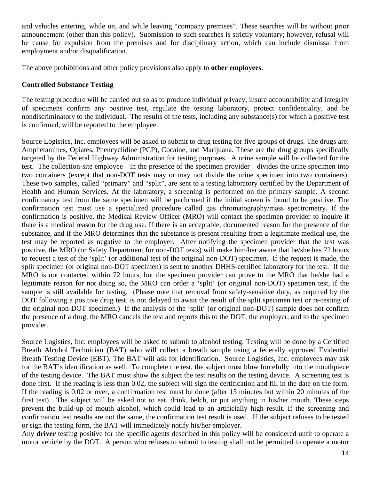and vehicles entering, while on, and while leaving "company premises". These searches will be without prior announcement (other than this policy). Submission to such searches is strictly voluntary; however, refusal will be cause for expulsion from the premises and for disciplinary action, which can include dismissal from employment and/or disqualification.

The above prohibitions and other policy provisions also apply to **other employees**.

#### **Controlled Substance Testing**

The testing procedure will be carried out so as to produce individual privacy, insure accountability and integrity of specimens confirm any positive test, regulate the testing laboratory, protect confidentiality, and be nondiscriminatory to the individual. The results of the tests, including any substance(s) for which a positive test is confirmed, will be reported to the employee.

Source Logistics, Inc. employees will be asked to submit to drug testing for five groups of drugs. The drugs are: Amphetamines, Opiates, Phencyclidine (PCP), Cocaine, and Marijuana. These are the drug groups specifically targeted by the Federal Highway Administration for testing purposes. A urine sample will be collected for the test. The collection-site employee—in the presence of the specimen provider—divides the urine specimen into two containers (except that non-DOT tests may or may not divide the urine specimen into two containers). These two samples, called "primary" and "split", are sent to a testing laboratory certified by the Department of Health and Human Services. At the laboratory, a screening is performed on the primary sample. A second confirmatory test from the same specimen will be performed if the initial screen is found to be positive. The confirmation test must use a specialized procedure called gas chromatography/mass spectrometry. If the confirmation is positive, the Medical Review Officer (MRO) will contact the specimen provider to inquire if there is a medical reason for the drug use. If there is an acceptable, documented reason for the presence of the substance, and if the MRO determines that the substance is present resulting from a legitimate medical use, the test may be reported as negative to the employer. After notifying the specimen provider that the test was positive, the MRO (or Safety Department for non-DOT tests) will make him/her aware that he/she has 72 hours to request a test of the 'split' (or additional test of the original non-DOT) specimen. If the request is made, the split specimen (or original non-DOT specimen) is sent to another DHHS-certified laboratory for the test. If the MRO is not contacted within 72 hours, but the specimen provider can prove to the MRO that he/she had a legitimate reason for not doing so, the MRO can order a 'split' (or original non-DOT) specimen test, if the sample is still available for testing. (Please note that removal from safety-sensitive duty, as required by the DOT following a positive drug test, is not delayed to await the result of the split specimen test or re-testing of the original non-DOT specimen.) If the analysis of the 'split' (or original non-DOT) sample does not confirm the presence of a drug, the MRO cancels the test and reports this to the DOT, the employer, and to the specimen provider.

Source Logistics, Inc. employees will be asked to submit to alcohol testing. Testing will be done by a Certified Breath Alcohol Technician (BAT) who will collect a breath sample using a federally approved Evidential Breath Testing Device (EBT). The BAT will ask for identification. Source Logistics, Inc. employees may ask for the BAT's identification as well. To complete the test, the subject must blow forcefully into the mouthpiece of the testing device. The BAT must show the subject the test results on the testing device. A screening test is done first. If the reading is less than 0.02, the subject will sign the certification and fill in the date on the form. If the reading is 0.02 or over, a confirmation test must be done (after 15 minutes but within 20 minutes of the first test). The subject will be asked not to eat, drink, belch, or put anything in his/her mouth. These steps prevent the build-up of mouth alcohol, which could lead to an artificially high result. If the screening and confirmation test results are not the same, the confirmation test result is used. If the subject refuses to be tested or sign the testing form, the BAT will immediately notify his/her employer.

Any **driver** testing positive for the specific agents described in this policy will be considered unfit to operate a motor vehicle by the DOT. A person who refuses to submit to testing shall not be permitted to operate a motor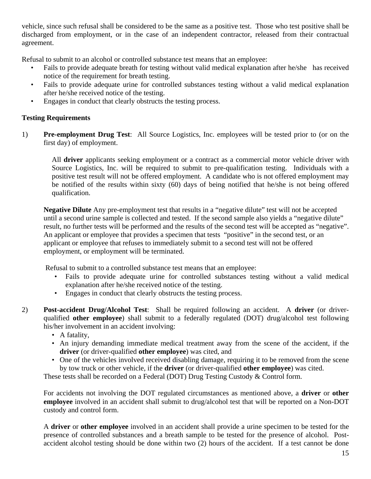vehicle, since such refusal shall be considered to be the same as a positive test. Those who test positive shall be discharged from employment, or in the case of an independent contractor, released from their contractual agreement.

Refusal to submit to an alcohol or controlled substance test means that an employee:

- Fails to provide adequate breath for testing without valid medical explanation after he/she has received notice of the requirement for breath testing.
- Fails to provide adequate urine for controlled substances testing without a valid medical explanation after he/she received notice of the testing.
- Engages in conduct that clearly obstructs the testing process.

#### **Testing Requirements**

1) **Pre-employment Drug Test**: All Source Logistics, Inc. employees will be tested prior to (or on the first day) of employment.

All **driver** applicants seeking employment or a contract as a commercial motor vehicle driver with Source Logistics, Inc. will be required to submit to pre-qualification testing. Individuals with a positive test result will not be offered employment. A candidate who is not offered employment may be notified of the results within sixty (60) days of being notified that he/she is not being offered qualification.

**Negative Dilute** Any pre-employment test that results in a "negative dilute" test will not be accepted until a second urine sample is collected and tested. If the second sample also yields a "negative dilute" result, no further tests will be performed and the results of the second test will be accepted as "negative". An applicant or employee that provides a specimen that tests "positive" in the second test, or an applicant or employee that refuses to immediately submit to a second test will not be offered employment, or employment will be terminated.

Refusal to submit to a controlled substance test means that an employee:

- Fails to provide adequate urine for controlled substances testing without a valid medical explanation after he/she received notice of the testing.
- Engages in conduct that clearly obstructs the testing process.
- 2) **Post-accident Drug/Alcohol Test**: Shall be required following an accident. A **driver** (or driverqualified **other employee**) shall submit to a federally regulated (DOT) drug/alcohol test following his/her involvement in an accident involving:
	- A fatality,
	- An injury demanding immediate medical treatment away from the scene of the accident, if the **driver** (or driver-qualified **other employee**) was cited, and
	- One of the vehicles involved received disabling damage, requiring it to be removed from the scene by tow truck or other vehicle, if the **driver** (or driver-qualified **other employee**) was cited.

These tests shall be recorded on a Federal (DOT) Drug Testing Custody & Control form.

For accidents not involving the DOT regulated circumstances as mentioned above, a **driver** or **other employee** involved in an accident shall submit to drug/alcohol test that will be reported on a Non-DOT custody and control form.

A **driver** or **other employee** involved in an accident shall provide a urine specimen to be tested for the presence of controlled substances and a breath sample to be tested for the presence of alcohol. Postaccident alcohol testing should be done within two (2) hours of the accident. If a test cannot be done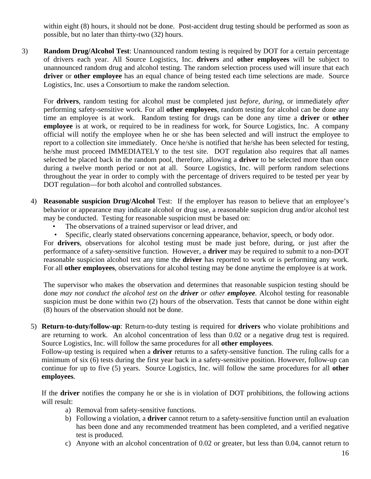within eight (8) hours, it should not be done. Post-accident drug testing should be performed as soon as possible, but no later than thirty-two (32) hours.

3) **Random Drug/Alcohol Test**: Unannounced random testing is required by DOT for a certain percentage of drivers each year. All Source Logistics, Inc. **drivers** and **other employees** will be subject to unannounced random drug and alcohol testing. The random selection process used will insure that each **driver** or **other employee** has an equal chance of being tested each time selections are made. Source Logistics, Inc. uses a Consortium to make the random selection.

For **drivers**, random testing for alcohol must be completed just *before, during,* or immediately *after* performing safety-sensitive work. For all **other employees**, random testing for alcohol can be done any time an employee is at work. Random testing for drugs can be done any time a **driver** or **other employee** is at work, or required to be in readiness for work, for Source Logistics, Inc. A company official will notify the employee when he or she has been selected and will instruct the employee to report to a collection site immediately. Once he/she is notified that he/she has been selected for testing, he/she must proceed IMMEDIATELY to the test site. DOT regulation also requires that all names selected be placed back in the random pool, therefore, allowing a **driver** to be selected more than once during a twelve month period or not at all. Source Logistics, Inc. will perform random selections throughout the year in order to comply with the percentage of drivers required to be tested per year by DOT regulation—for both alcohol and controlled substances.

- 4) **Reasonable suspicion Drug/Alcohol** Test: If the employer has reason to believe that an employee's behavior or appearance may indicate alcohol or drug use, a reasonable suspicion drug and/or alcohol test may be conducted. Testing for reasonable suspicion must be based on:
	- The observations of a trained supervisor or lead driver, and
	- Specific, clearly stated observations concerning appearance, behavior, speech, or body odor.

 For **drivers**, observations for alcohol testing must be made just before, during, or just after the performance of a safety-sensitive function. However, a **driver** may be required to submit to a non-DOT reasonable suspicion alcohol test any time the **driver** has reported to work or is performing any work. For all **other employees**, observations for alcohol testing may be done anytime the employee is at work.

The supervisor who makes the observation and determines that reasonable suspicion testing should be done *may not conduct the alcohol test on the driver or other employee.* Alcohol testing for reasonable suspicion must be done within two (2) hours of the observation. Tests that cannot be done within eight (8) hours of the observation should not be done.

5) **Return-to-duty/follow-up**: Return-to-duty testing is required for **drivers** who violate prohibitions and are returning to work. An alcohol concentration of less than 0.02 or a negative drug test is required. Source Logistics, Inc. will follow the same procedures for all **other employees**.

Follow-up testing is required when a **driver** returns to a safety-sensitive function. The ruling calls for a minimum of six (6) tests during the first year back in a safety-sensitive position. However, follow-up can continue for up to five (5) years. Source Logistics, Inc. will follow the same procedures for all **other employees**.

If the **driver** notifies the company he or she is in violation of DOT prohibitions, the following actions will result:

- a) Removal from safety-sensitive functions.
- b) Following a violation, a **driver** cannot return to a safety-sensitive function until an evaluation has been done and any recommended treatment has been completed, and a verified negative test is produced.
- c) Anyone with an alcohol concentration of 0.02 or greater, but less than 0.04, cannot return to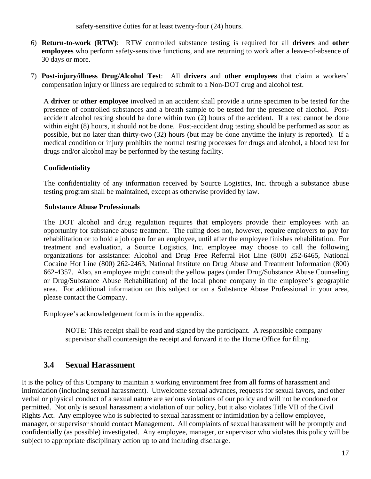safety-sensitive duties for at least twenty-four (24) hours.

- 6) **Return-to-work (RTW)**: RTW controlled substance testing is required for all **drivers** and **other employees** who perform safety-sensitive functions, and are returning to work after a leave-of-absence of 30 days or more.
- 7) **Post-injury/illness Drug/Alcohol Test**: All **drivers** and **other employees** that claim a workers' compensation injury or illness are required to submit to a Non-DOT drug and alcohol test.

A **driver** or **other employee** involved in an accident shall provide a urine specimen to be tested for the presence of controlled substances and a breath sample to be tested for the presence of alcohol. Postaccident alcohol testing should be done within two (2) hours of the accident. If a test cannot be done within eight (8) hours, it should not be done. Post-accident drug testing should be performed as soon as possible, but no later than thirty-two (32) hours (but may be done anytime the injury is reported). If a medical condition or injury prohibits the normal testing processes for drugs and alcohol, a blood test for drugs and/or alcohol may be performed by the testing facility.

#### **Confidentiality**

The confidentiality of any information received by Source Logistics, Inc. through a substance abuse testing program shall be maintained, except as otherwise provided by law.

#### **Substance Abuse Professionals**

The DOT alcohol and drug regulation requires that employers provide their employees with an opportunity for substance abuse treatment. The ruling does not, however, require employers to pay for rehabilitation or to hold a job open for an employee, until after the employee finishes rehabilitation. For treatment and evaluation, a Source Logistics, Inc. employee may choose to call the following organizations for assistance: Alcohol and Drug Free Referral Hot Line (800) 252-6465, National Cocaine Hot Line (800) 262-2463, National Institute on Drug Abuse and Treatment Information (800) 662-4357. Also, an employee might consult the yellow pages (under Drug/Substance Abuse Counseling or Drug/Substance Abuse Rehabilitation) of the local phone company in the employee's geographic area. For additional information on this subject or on a Substance Abuse Professional in your area, please contact the Company.

Employee's acknowledgement form is in the appendix.

NOTE: This receipt shall be read and signed by the participant. A responsible company supervisor shall countersign the receipt and forward it to the Home Office for filing.

## **3.4 Sexual Harassment**

It is the policy of this Company to maintain a working environment free from all forms of harassment and intimidation (including sexual harassment). Unwelcome sexual advances, requests for sexual favors, and other verbal or physical conduct of a sexual nature are serious violations of our policy and will not be condoned or permitted. Not only is sexual harassment a violation of our policy, but it also violates Title VII of the Civil Rights Act. Any employee who is subjected to sexual harassment or intimidation by a fellow employee, manager, or supervisor should contact Management. All complaints of sexual harassment will be promptly and confidentially (as possible) investigated. Any employee, manager, or supervisor who violates this policy will be subject to appropriate disciplinary action up to and including discharge.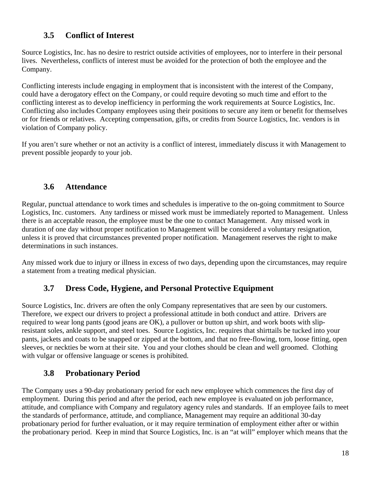## **3.5 Conflict of Interest**

Source Logistics, Inc. has no desire to restrict outside activities of employees, nor to interfere in their personal lives. Nevertheless, conflicts of interest must be avoided for the protection of both the employee and the Company.

Conflicting interests include engaging in employment that is inconsistent with the interest of the Company, could have a derogatory effect on the Company, or could require devoting so much time and effort to the conflicting interest as to develop inefficiency in performing the work requirements at Source Logistics, Inc. Conflicting also includes Company employees using their positions to secure any item or benefit for themselves or for friends or relatives. Accepting compensation, gifts, or credits from Source Logistics, Inc. vendors is in violation of Company policy.

If you aren't sure whether or not an activity is a conflict of interest, immediately discuss it with Management to prevent possible jeopardy to your job.

## **3.6 Attendance**

Regular, punctual attendance to work times and schedules is imperative to the on-going commitment to Source Logistics, Inc. customers. Any tardiness or missed work must be immediately reported to Management. Unless there is an acceptable reason, the employee must be the one to contact Management. Any missed work in duration of one day without proper notification to Management will be considered a voluntary resignation, unless it is proved that circumstances prevented proper notification. Management reserves the right to make determinations in such instances.

Any missed work due to injury or illness in excess of two days, depending upon the circumstances, may require a statement from a treating medical physician.

## **3.7 Dress Code, Hygiene, and Personal Protective Equipment**

Source Logistics, Inc. drivers are often the only Company representatives that are seen by our customers. Therefore, we expect our drivers to project a professional attitude in both conduct and attire. Drivers are required to wear long pants (good jeans are OK), a pullover or button up shirt, and work boots with slipresistant soles, ankle support, and steel toes. Source Logistics, Inc. requires that shirttails be tucked into your pants, jackets and coats to be snapped or zipped at the bottom, and that no free-flowing, torn, loose fitting, open sleeves, or neckties be worn at their site. You and your clothes should be clean and well groomed. Clothing with vulgar or offensive language or scenes is prohibited.

## **3.8 Probationary Period**

The Company uses a 90-day probationary period for each new employee which commences the first day of employment. During this period and after the period, each new employee is evaluated on job performance, attitude, and compliance with Company and regulatory agency rules and standards. If an employee fails to meet the standards of performance, attitude, and compliance, Management may require an additional 30-day probationary period for further evaluation, or it may require termination of employment either after or within the probationary period. Keep in mind that Source Logistics, Inc. is an "at will" employer which means that the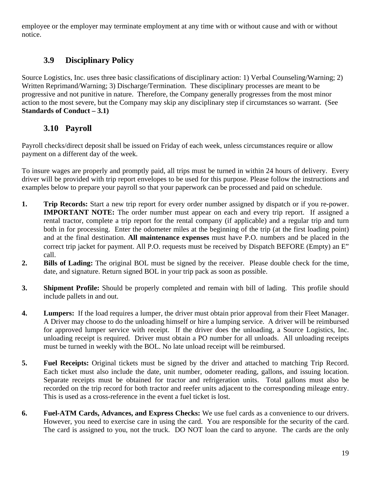employee or the employer may terminate employment at any time with or without cause and with or without notice.

## **3.9 Disciplinary Policy**

Source Logistics, Inc. uses three basic classifications of disciplinary action: 1) Verbal Counseling/Warning; 2) Written Reprimand/Warning; 3) Discharge/Termination. These disciplinary processes are meant to be progressive and not punitive in nature. Therefore, the Company generally progresses from the most minor action to the most severe, but the Company may skip any disciplinary step if circumstances so warrant. (See **Standards of Conduct – 3.1)**

## **3.10 Payroll**

Payroll checks/direct deposit shall be issued on Friday of each week, unless circumstances require or allow payment on a different day of the week.

To insure wages are properly and promptly paid, all trips must be turned in within 24 hours of delivery. Every driver will be provided with trip report envelopes to be used for this purpose. Please follow the instructions and examples below to prepare your payroll so that your paperwork can be processed and paid on schedule.

- **1. Trip Records:** Start a new trip report for every order number assigned by dispatch or if you re-power. **IMPORTANT NOTE:** The order number must appear on each and every trip report. If assigned a rental tractor, complete a trip report for the rental company (if applicable) and a regular trip and turn both in for processing. Enter the odometer miles at the beginning of the trip (at the first loading point) and at the final destination. **All maintenance expenses** must have P.O. numbers and be placed in the correct trip jacket for payment. All P.O. requests must be received by Dispatch BEFORE (Empty) an E" call.
- **2. Bills of Lading:** The original BOL must be signed by the receiver. Please double check for the time, date, and signature. Return signed BOL in your trip pack as soon as possible.
- **3. Shipment Profile:** Should be properly completed and remain with bill of lading. This profile should include pallets in and out.
- **4. Lumpers:** If the load requires a lumper, the driver must obtain prior approval from their Fleet Manager. A Driver may choose to do the unloading himself or hire a lumping service. A driver will be reimbursed for approved lumper service with receipt. If the driver does the unloading, a Source Logistics, Inc. unloading receipt is required. Driver must obtain a PO number for all unloads. All unloading receipts must be turned in weekly with the BOL. No late unload receipt will be reimbursed.
- **5. Fuel Receipts:** Original tickets must be signed by the driver and attached to matching Trip Record. Each ticket must also include the date, unit number, odometer reading, gallons, and issuing location. Separate receipts must be obtained for tractor and refrigeration units. Total gallons must also be recorded on the trip record for both tractor and reefer units adjacent to the corresponding mileage entry. This is used as a cross-reference in the event a fuel ticket is lost.
- **6. Fuel-ATM Cards, Advances, and Express Checks:** We use fuel cards as a convenience to our drivers. However, you need to exercise care in using the card. You are responsible for the security of the card. The card is assigned to you, not the truck. DO NOT loan the card to anyone. The cards are the only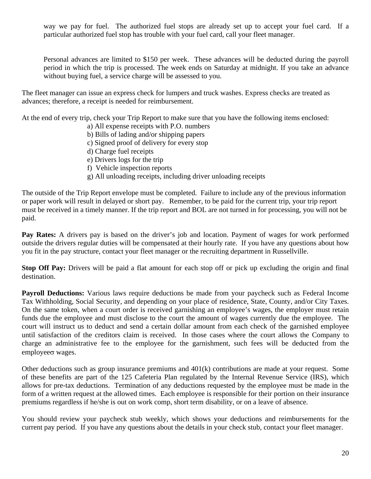way we pay for fuel. The authorized fuel stops are already set up to accept your fuel card. If a particular authorized fuel stop has trouble with your fuel card, call your fleet manager.

Personal advances are limited to \$150 per week. These advances will be deducted during the payroll period in which the trip is processed. The week ends on Saturday at midnight. If you take an advance without buying fuel, a service charge will be assessed to you.

The fleet manager can issue an express check for lumpers and truck washes. Express checks are treated as advances; therefore, a receipt is needed for reimbursement.

At the end of every trip, check your Trip Report to make sure that you have the following items enclosed:

- a) All expense receipts with P.O. numbers
- b) Bills of lading and/or shipping papers
- c) Signed proof of delivery for every stop
- d) Charge fuel receipts
- e) Drivers logs for the trip
- f) Vehicle inspection reports
- g) All unloading receipts, including driver unloading receipts

The outside of the Trip Report envelope must be completed. Failure to include any of the previous information or paper work will result in delayed or short pay. Remember, to be paid for the current trip, your trip report must be received in a timely manner. If the trip report and BOL are not turned in for processing, you will not be paid.

**Pay Rates:** A drivers pay is based on the driver's job and location. Payment of wages for work performed outside the drivers regular duties will be compensated at their hourly rate. If you have any questions about how you fit in the pay structure, contact your fleet manager or the recruiting department in Russellville.

**Stop Off Pay:** Drivers will be paid a flat amount for each stop off or pick up excluding the origin and final destination.

**Payroll Deductions:** Various laws require deductions be made from your paycheck such as Federal Income Tax Withholding, Social Security, and depending on your place of residence, State, County, and/or City Taxes. On the same token, when a court order is received garnishing an employee's wages, the employer must retain funds due the employee and must disclose to the court the amount of wages currently due the employee. The court will instruct us to deduct and send a certain dollar amount from each check of the garnished employee until satisfaction of the creditors claim is received. In those cases where the court allows the Company to charge an administrative fee to the employee for the garnishment, such fees will be deducted from the  $emplovec$  wages.

Other deductions such as group insurance premiums and 401(k) contributions are made at your request. Some of these benefits are part of the 125 Cafeteria Plan regulated by the Internal Revenue Service (IRS), which allows for pre-tax deductions. Termination of any deductions requested by the employee must be made in the form of a written request at the allowed times. Each employee is responsible for their portion on their insurance premiums regardless if he/she is out on work comp, short term disability, or on a leave of absence.

You should review your paycheck stub weekly, which shows your deductions and reimbursements for the current pay period. If you have any questions about the details in your check stub, contact your fleet manager.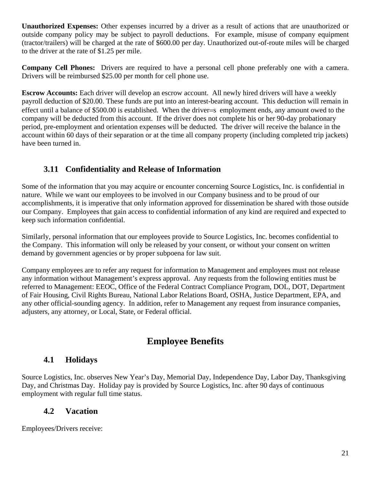**Unauthorized Expenses:** Other expenses incurred by a driver as a result of actions that are unauthorized or outside company policy may be subject to payroll deductions. For example, misuse of company equipment (tractor/trailers) will be charged at the rate of \$600.00 per day. Unauthorized out-of-route miles will be charged to the driver at the rate of \$1.25 per mile.

**Company Cell Phones:** Drivers are required to have a personal cell phone preferably one with a camera. Drivers will be reimbursed \$25.00 per month for cell phone use.

**Escrow Accounts:** Each driver will develop an escrow account. All newly hired drivers will have a weekly payroll deduction of \$20.00. These funds are put into an interest-bearing account. This deduction will remain in effect until a balance of \$500.00 is established. When the driver=s employment ends, any amount owed to the company will be deducted from this account. If the driver does not complete his or her 90-day probationary period, pre-employment and orientation expenses will be deducted. The driver will receive the balance in the account within 60 days of their separation or at the time all company property (including completed trip jackets) have been turned in.

## **3.11 Confidentiality and Release of Information**

Some of the information that you may acquire or encounter concerning Source Logistics, Inc. is confidential in nature. While we want our employees to be involved in our Company business and to be proud of our accomplishments, it is imperative that only information approved for dissemination be shared with those outside our Company. Employees that gain access to confidential information of any kind are required and expected to keep such information confidential.

Similarly, personal information that our employees provide to Source Logistics, Inc. becomes confidential to the Company. This information will only be released by your consent, or without your consent on written demand by government agencies or by proper subpoena for law suit.

Company employees are to refer any request for information to Management and employees must not release any information without Management's express approval. Any requests from the following entities must be referred to Management: EEOC, Office of the Federal Contract Compliance Program, DOL, DOT, Department of Fair Housing, Civil Rights Bureau, National Labor Relations Board, OSHA, Justice Department, EPA, and any other official-sounding agency. In addition, refer to Management any request from insurance companies, adjusters, any attorney, or Local, State, or Federal official.

# **Employee Benefits**

## **4.1 Holidays**

Source Logistics, Inc. observes New Year's Day, Memorial Day, Independence Day, Labor Day, Thanksgiving Day, and Christmas Day. Holiday pay is provided by Source Logistics, Inc. after 90 days of continuous employment with regular full time status.

#### **4.2 Vacation**

Employees/Drivers receive: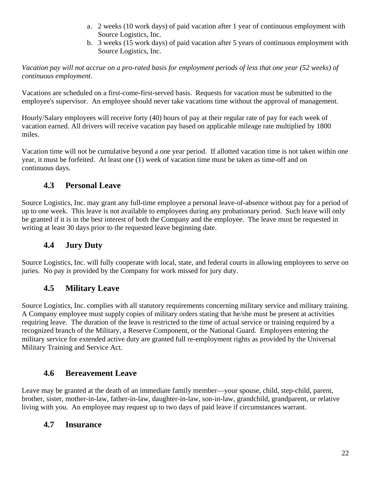- a. 2 weeks (10 work days) of paid vacation after 1 year of continuous employment with Source Logistics, Inc.
- b. 3 weeks (15 work days) of paid vacation after 5 years of continuous employment with Source Logistics, Inc.

*Vacation pay will not accrue on a pro-rated basis for employment periods of less that one year (52 weeks) of continuous employment*.

Vacations are scheduled on a first-come-first-served basis. Requests for vacation must be submitted to the employee's supervisor. An employee should never take vacations time without the approval of management.

Hourly/Salary employees will receive forty (40) hours of pay at their regular rate of pay for each week of vacation earned. All drivers will receive vacation pay based on applicable mileage rate multiplied by 1800 miles.

Vacation time will not be cumulative beyond a one year period. If allotted vacation time is not taken within one year, it must be forfeited. At least one (1) week of vacation time must be taken as time-off and on continuous days.

## **4.3 Personal Leave**

Source Logistics, Inc. may grant any full-time employee a personal leave-of-absence without pay for a period of up to one week. This leave is not available to employees during any probationary period. Such leave will only be granted if it is in the best interest of both the Company and the employee. The leave must be requested in writing at least 30 days prior to the requested leave beginning date.

## **4.4 Jury Duty**

Source Logistics, Inc. will fully cooperate with local, state, and federal courts in allowing employees to serve on juries. No pay is provided by the Company for work missed for jury duty.

## **4.5 Military Leave**

Source Logistics, Inc. complies with all statutory requirements concerning military service and military training. A Company employee must supply copies of military orders stating that he/she must be present at activities requiring leave. The duration of the leave is restricted to the time of actual service or training required by a recognized branch of the Military, a Reserve Component, or the National Guard. Employees entering the military service for extended active duty are granted full re-employment rights as provided by the Universal Military Training and Service Act.

## **4.6 Bereavement Leave**

Leave may be granted at the death of an immediate family member—your spouse, child, step-child, parent, brother, sister, mother-in-law, father-in-law, daughter-in-law, son-in-law, grandchild, grandparent, or relative living with you. An employee may request up to two days of paid leave if circumstances warrant.

## **4.7 Insurance**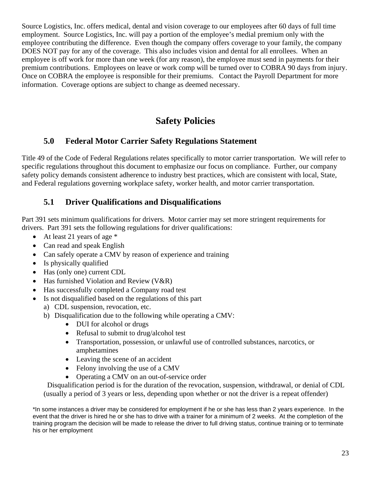Source Logistics, Inc. offers medical, dental and vision coverage to our employees after 60 days of full time employment. Source Logistics, Inc. will pay a portion of the employee's medial premium only with the employee contributing the difference. Even though the company offers coverage to your family, the company DOES NOT pay for any of the coverage. This also includes vision and dental for all enrollees. When an employee is off work for more than one week (for any reason), the employee must send in payments for their premium contributions. Employees on leave or work comp will be turned over to COBRA 90 days from injury. Once on COBRA the employee is responsible for their premiums. Contact the Payroll Department for more information. Coverage options are subject to change as deemed necessary.

# **Safety Policies**

## **5.0 Federal Motor Carrier Safety Regulations Statement**

Title 49 of the Code of Federal Regulations relates specifically to motor carrier transportation. We will refer to specific regulations throughout this document to emphasize our focus on compliance. Further, our company safety policy demands consistent adherence to industry best practices, which are consistent with local, State, and Federal regulations governing workplace safety, worker health, and motor carrier transportation.

## **5.1 Driver Qualifications and Disqualifications**

Part 391 sets minimum qualifications for drivers. Motor carrier may set more stringent requirements for drivers. Part 391 sets the following regulations for driver qualifications:

- At least 21 years of age  $*$
- Can read and speak English
- Can safely operate a CMV by reason of experience and training
- Is physically qualified
- Has (only one) current CDL
- Has furnished Violation and Review (V&R)
- Has successfully completed a Company road test
- Is not disqualified based on the regulations of this part
	- a) CDL suspension, revocation, etc.
	- b) Disqualification due to the following while operating a CMV:
		- DUI for alcohol or drugs
		- Refusal to submit to drug/alcohol test
		- Transportation, possession, or unlawful use of controlled substances, narcotics, or amphetamines
		- Leaving the scene of an accident
		- Felony involving the use of a CMV
		- Operating a CMV on an out-of-service order

Disqualification period is for the duration of the revocation, suspension, withdrawal, or denial of CDL (usually a period of 3 years or less, depending upon whether or not the driver is a repeat offender)

\*In some instances a driver may be considered for employment if he or she has less than 2 years experience. In the event that the driver is hired he or she has to drive with a trainer for a minimum of 2 weeks. At the completion of the training program the decision will be made to release the driver to full driving status, continue training or to terminate his or her employment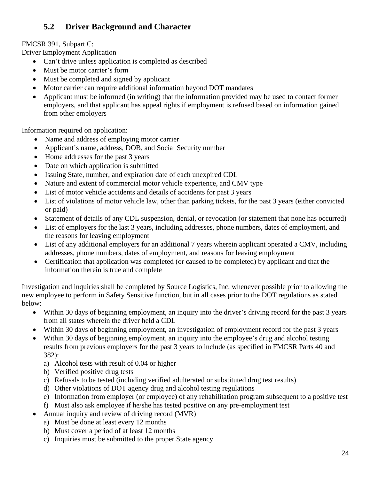## **5.2 Driver Background and Character**

#### FMCSR 391, Subpart C:

Driver Employment Application

- Can't drive unless application is completed as described
- Must be motor carrier's form
- Must be completed and signed by applicant
- Motor carrier can require additional information beyond DOT mandates
- Applicant must be informed (in writing) that the information provided may be used to contact former employers, and that applicant has appeal rights if employment is refused based on information gained from other employers

Information required on application:

- Name and address of employing motor carrier
- Applicant's name, address, DOB, and Social Security number
- Home addresses for the past 3 years
- Date on which application is submitted
- Issuing State, number, and expiration date of each unexpired CDL
- Nature and extent of commercial motor vehicle experience, and CMV type
- List of motor vehicle accidents and details of accidents for past 3 years
- List of violations of motor vehicle law, other than parking tickets, for the past 3 years (either convicted or paid)
- Statement of details of any CDL suspension, denial, or revocation (or statement that none has occurred)
- List of employers for the last 3 years, including addresses, phone numbers, dates of employment, and the reasons for leaving employment
- List of any additional employers for an additional 7 years wherein applicant operated a CMV, including addresses, phone numbers, dates of employment, and reasons for leaving employment
- Certification that application was completed (or caused to be completed) by applicant and that the information therein is true and complete

Investigation and inquiries shall be completed by Source Logistics, Inc. whenever possible prior to allowing the new employee to perform in Safety Sensitive function, but in all cases prior to the DOT regulations as stated below:

- Within 30 days of beginning employment, an inquiry into the driver's driving record for the past 3 years from all states wherein the driver held a CDL
- Within 30 days of beginning employment, an investigation of employment record for the past 3 years
- Within 30 days of beginning employment, an inquiry into the employee's drug and alcohol testing results from previous employers for the past 3 years to include (as specified in FMCSR Parts 40 and 382):
	- a) Alcohol tests with result of 0.04 or higher
	- b) Verified positive drug tests
	- c) Refusals to be tested (including verified adulterated or substituted drug test results)
	- d) Other violations of DOT agency drug and alcohol testing regulations
	- e) Information from employer (or employee) of any rehabilitation program subsequent to a positive test
	- f) Must also ask employee if he/she has tested positive on any pre-employment test
- Annual inquiry and review of driving record (MVR)
	- a) Must be done at least every 12 months
	- b) Must cover a period of at least 12 months
	- c) Inquiries must be submitted to the proper State agency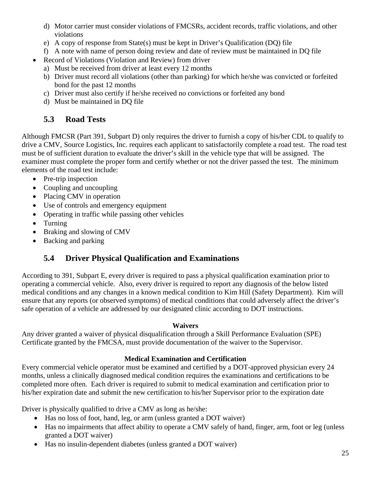- d) Motor carrier must consider violations of FMCSRs, accident records, traffic violations, and other violations
- e) A copy of response from State(s) must be kept in Driver's Qualification (DQ) file
- f) A note with name of person doing review and date of review must be maintained in DQ file
- Record of Violations (Violation and Review) from driver
	- a) Must be received from driver at least every 12 months
	- b) Driver must record all violations (other than parking) for which he/she was convicted or forfeited bond for the past 12 months
	- c) Driver must also certify if he/she received no convictions or forfeited any bond
	- d) Must be maintained in DQ file

## **5.3 Road Tests**

Although FMCSR (Part 391, Subpart D) only requires the driver to furnish a copy of his/her CDL to qualify to drive a CMV, Source Logistics, Inc. requires each applicant to satisfactorily complete a road test. The road test must be of sufficient duration to evaluate the driver's skill in the vehicle type that will be assigned. The examiner must complete the proper form and certify whether or not the driver passed the test. The minimum elements of the road test include:

- Pre-trip inspection
- Coupling and uncoupling
- Placing CMV in operation
- Use of controls and emergency equipment
- Operating in traffic while passing other vehicles
- Turning
- Braking and slowing of CMV
- Backing and parking

## **5.4 Driver Physical Qualification and Examinations**

According to 391, Subpart E, every driver is required to pass a physical qualification examination prior to operating a commercial vehicle. Also, every driver is required to report any diagnosis of the below listed medical conditions and any changes in a known medical condition to Kim Hill (Safety Department). Kim will ensure that any reports (or observed symptoms) of medical conditions that could adversely affect the driver's safe operation of a vehicle are addressed by our designated clinic according to DOT instructions.

#### **Waivers**

Any driver granted a waiver of physical disqualification through a Skill Performance Evaluation (SPE) Certificate granted by the FMCSA, must provide documentation of the waiver to the Supervisor.

#### **Medical Examination and Certification**

Every commercial vehicle operator must be examined and certified by a DOT-approved physician every 24 months, unless a clinically diagnosed medical condition requires the examinations and certifications to be completed more often. Each driver is required to submit to medical examination and certification prior to his/her expiration date and submit the new certification to his/her Supervisor prior to the expiration date

Driver is physically qualified to drive a CMV as long as he/she:

- Has no loss of foot, hand, leg, or arm (unless granted a DOT waiver)
- Has no impairments that affect ability to operate a CMV safely of hand, finger, arm, foot or leg (unless granted a DOT waiver)
- Has no insulin-dependent diabetes (unless granted a DOT waiver)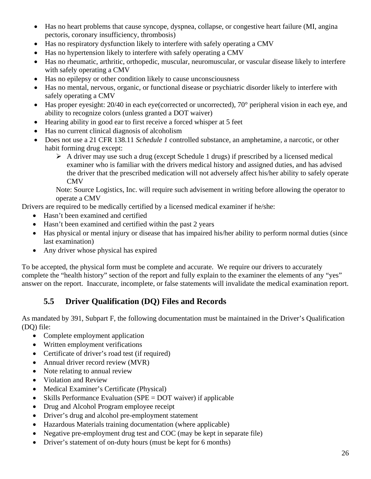- Has no heart problems that cause syncope, dyspnea, collapse, or congestive heart failure (MI, angina pectoris, coronary insufficiency, thrombosis)
- Has no respiratory dysfunction likely to interfere with safely operating a CMV
- Has no hypertension likely to interfere with safely operating a CMV
- Has no rheumatic, arthritic, orthopedic, muscular, neuromuscular, or vascular disease likely to interfere with safely operating a CMV
- Has no epilepsy or other condition likely to cause unconsciousness
- Has no mental, nervous, organic, or functional disease or psychiatric disorder likely to interfere with safely operating a CMV
- $\bullet$  Has proper eyesight: 20/40 in each eye(corrected or uncorrected), 70 $\degree$  peripheral vision in each eye, and ability to recognize colors (unless granted a DOT waiver)
- Hearing ability in good ear to first receive a forced whisper at 5 feet
- Has no current clinical diagnosis of alcoholism
- Does not use a 21 CFR 138.11 *Schedule 1* controlled substance, an amphetamine, a narcotic, or other habit forming drug except:
	- $\triangleright$  A driver may use such a drug (except Schedule 1 drugs) if prescribed by a licensed medical examiner who is familiar with the drivers medical history and assigned duties, and has advised the driver that the prescribed medication will not adversely affect his/her ability to safely operate CMV

Note: Source Logistics, Inc. will require such advisement in writing before allowing the operator to operate a CMV

Drivers are required to be medically certified by a licensed medical examiner if he/she:

- Hasn't been examined and certified
- Hasn't been examined and certified within the past 2 years
- Has physical or mental injury or disease that has impaired his/her ability to perform normal duties (since last examination)
- Any driver whose physical has expired

To be accepted, the physical form must be complete and accurate. We require our drivers to accurately complete the "health history" section of the report and fully explain to the examiner the elements of any "yes" answer on the report. Inaccurate, incomplete, or false statements will invalidate the medical examination report.

## **5.5 Driver Qualification (DQ) Files and Records**

As mandated by 391, Subpart F, the following documentation must be maintained in the Driver's Qualification (DQ) file:

- Complete employment application
- Written employment verifications
- Certificate of driver's road test (if required)
- Annual driver record review (MVR)
- Note relating to annual review
- Violation and Review
- Medical Examiner's Certificate (Physical)
- Skills Performance Evaluation (SPE = DOT waiver) if applicable
- Drug and Alcohol Program employee receipt
- Driver's drug and alcohol pre-employment statement
- Hazardous Materials training documentation (where applicable)
- Negative pre-employment drug test and COC (may be kept in separate file)
- Driver's statement of on-duty hours (must be kept for 6 months)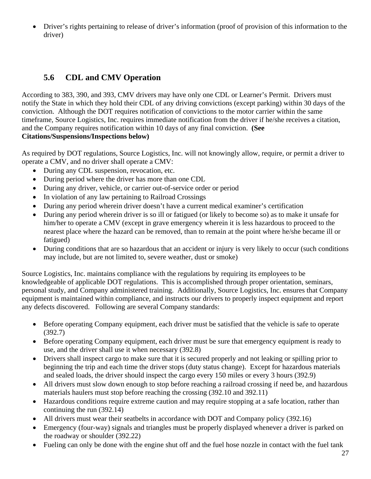Driver's rights pertaining to release of driver's information (proof of provision of this information to the driver)

## **5.6 CDL and CMV Operation**

According to 383, 390, and 393, CMV drivers may have only one CDL or Learner's Permit. Drivers must notify the State in which they hold their CDL of any driving convictions (except parking) within 30 days of the conviction. Although the DOT requires notification of convictions to the motor carrier within the same timeframe, Source Logistics, Inc. requires immediate notification from the driver if he/she receives a citation, and the Company requires notification within 10 days of any final conviction. **(See Citations/Suspensions/Inspections below)** 

As required by DOT regulations, Source Logistics, Inc. will not knowingly allow, require, or permit a driver to operate a CMV, and no driver shall operate a CMV:

- During any CDL suspension, revocation, etc.
- During period where the driver has more than one CDL
- During any driver, vehicle, or carrier out-of-service order or period
- In violation of any law pertaining to Railroad Crossings
- During any period wherein driver doesn't have a current medical examiner's certification
- During any period wherein driver is so ill or fatigued (or likely to become so) as to make it unsafe for him/her to operate a CMV (except in grave emergency wherein it is less hazardous to proceed to the nearest place where the hazard can be removed, than to remain at the point where he/she became ill or fatigued)
- During conditions that are so hazardous that an accident or injury is very likely to occur (such conditions may include, but are not limited to, severe weather, dust or smoke)

Source Logistics, Inc. maintains compliance with the regulations by requiring its employees to be knowledgeable of applicable DOT regulations. This is accomplished through proper orientation, seminars, personal study, and Company administered training. Additionally, Source Logistics, Inc. ensures that Company equipment is maintained within compliance, and instructs our drivers to properly inspect equipment and report any defects discovered. Following are several Company standards:

- Before operating Company equipment, each driver must be satisfied that the vehicle is safe to operate (392.7)
- Before operating Company equipment, each driver must be sure that emergency equipment is ready to use, and the driver shall use it when necessary (392.8)
- Drivers shall inspect cargo to make sure that it is secured properly and not leaking or spilling prior to beginning the trip and each time the driver stops (duty status change). Except for hazardous materials and sealed loads, the driver should inspect the cargo every 150 miles or every 3 hours (392.9)
- All drivers must slow down enough to stop before reaching a railroad crossing if need be, and hazardous materials haulers must stop before reaching the crossing (392.10 and 392.11)
- Hazardous conditions require extreme caution and may require stopping at a safe location, rather than continuing the run (392.14)
- All drivers must wear their seatbelts in accordance with DOT and Company policy (392.16)
- Emergency (four-way) signals and triangles must be properly displayed whenever a driver is parked on the roadway or shoulder (392.22)
- Fueling can only be done with the engine shut off and the fuel hose nozzle in contact with the fuel tank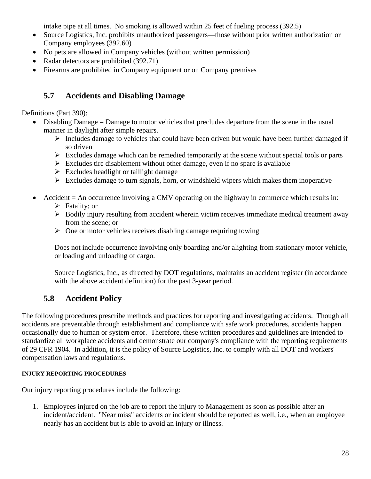intake pipe at all times. No smoking is allowed within 25 feet of fueling process (392.5)

- Source Logistics, Inc. prohibits unauthorized passengers—those without prior written authorization or Company employees (392.60)
- No pets are allowed in Company vehicles (without written permission)
- Radar detectors are prohibited (392.71)
- Firearms are prohibited in Company equipment or on Company premises

## **5.7 Accidents and Disabling Damage**

Definitions (Part 390):

- Disabling Damage = Damage to motor vehicles that precludes departure from the scene in the usual manner in daylight after simple repairs.
	- $\triangleright$  Includes damage to vehicles that could have been driven but would have been further damaged if so driven
	- $\triangleright$  Excludes damage which can be remedied temporarily at the scene without special tools or parts
	- $\triangleright$  Excludes tire disablement without other damage, even if no spare is available
	- $\triangleright$  Excludes headlight or taillight damage
	- $\triangleright$  Excludes damage to turn signals, horn, or windshield wipers which makes them inoperative
- Accident = An occurrence involving a CMV operating on the highway in commerce which results in:
	- $\triangleright$  Fatality; or
	- $\triangleright$  Bodily injury resulting from accident wherein victim receives immediate medical treatment away from the scene; or
	- $\triangleright$  One or motor vehicles receives disabling damage requiring towing

Does not include occurrence involving only boarding and/or alighting from stationary motor vehicle, or loading and unloading of cargo.

Source Logistics, Inc., as directed by DOT regulations, maintains an accident register (in accordance with the above accident definition) for the past 3-year period.

## **5.8 Accident Policy**

The following procedures prescribe methods and practices for reporting and investigating accidents. Though all accidents are preventable through establishment and compliance with safe work procedures, accidents happen occasionally due to human or system error. Therefore, these written procedures and guidelines are intended to standardize all workplace accidents and demonstrate our company's compliance with the reporting requirements of 29 CFR 1904. In addition, it is the policy of Source Logistics, Inc. to comply with all DOT and workers' compensation laws and regulations.

#### **INJURY REPORTING PROCEDURES**

Our injury reporting procedures include the following:

1. Employees injured on the job are to report the injury to Management as soon as possible after an incident/accident. "Near miss" accidents or incident should be reported as well, i.e., when an employee nearly has an accident but is able to avoid an injury or illness.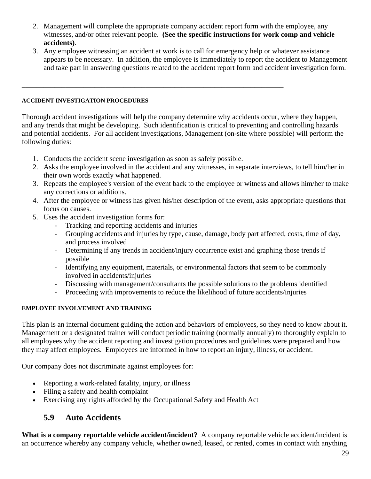- 2. Management will complete the appropriate company accident report form with the employee, any witnesses, and/or other relevant people. **(See the specific instructions for work comp and vehicle accidents)**.
- 3. Any employee witnessing an accident at work is to call for emergency help or whatever assistance appears to be necessary. In addition, the employee is immediately to report the accident to Management and take part in answering questions related to the accident report form and accident investigation form.

#### **ACCIDENT INVESTIGATION PROCEDURES**

Thorough accident investigations will help the company determine why accidents occur, where they happen, and any trends that might be developing. Such identification is critical to preventing and controlling hazards and potential accidents. For all accident investigations, Management (on-site where possible) will perform the following duties:

1. Conducts the accident scene investigation as soon as safely possible.

\_\_\_\_\_\_\_\_\_\_\_\_\_\_\_\_\_\_\_\_\_\_\_\_\_\_\_\_\_\_\_\_\_\_\_\_\_\_\_\_\_\_\_\_\_\_\_\_\_\_\_\_\_\_\_\_\_\_\_\_\_\_\_\_\_\_\_\_\_\_\_\_

- 2. Asks the employee involved in the accident and any witnesses, in separate interviews, to tell him/her in their own words exactly what happened.
- 3. Repeats the employee's version of the event back to the employee or witness and allows him/her to make any corrections or additions.
- 4. After the employee or witness has given his/her description of the event, asks appropriate questions that focus on causes.
- 5. Uses the accident investigation forms for:
	- Tracking and reporting accidents and injuries
	- Grouping accidents and injuries by type, cause, damage, body part affected, costs, time of day, and process involved
	- Determining if any trends in accident/injury occurrence exist and graphing those trends if possible
	- Identifying any equipment, materials, or environmental factors that seem to be commonly involved in accidents/injuries
	- Discussing with management/consultants the possible solutions to the problems identified
	- Proceeding with improvements to reduce the likelihood of future accidents/injuries

#### **EMPLOYEE INVOLVEMENT AND TRAINING**

This plan is an internal document guiding the action and behaviors of employees, so they need to know about it. Management or a designated trainer will conduct periodic training (normally annually) to thoroughly explain to all employees why the accident reporting and investigation procedures and guidelines were prepared and how they may affect employees. Employees are informed in how to report an injury, illness, or accident.

Our company does not discriminate against employees for:

- Reporting a work-related fatality, injury, or illness
- Filing a safety and health complaint
- Exercising any rights afforded by the Occupational Safety and Health Act

## **5.9 Auto Accidents**

**What is a company reportable vehicle accident/incident?** A company reportable vehicle accident/incident is an occurrence whereby any company vehicle, whether owned, leased, or rented, comes in contact with anything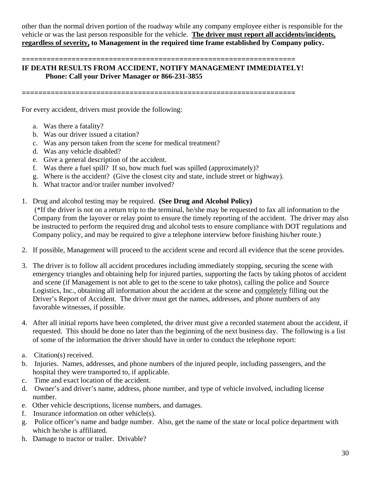other than the normal driven portion of the roadway while any company employee either is responsible for the vehicle or was the last person responsible for the vehicle. **The driver must report all accidents/incidents, regardless of severity, to Management in the required time frame established by Company policy.**

#### **================================================================== IF DEATH RESULTS FROM ACCIDENT, NOTIFY MANAGEMENT IMMEDIATELY! Phone: Call your Driver Manager or 866-231-3855**

**==================================================================** 

For every accident, drivers must provide the following:

- a. Was there a fatality?
- b. Was our driver issued a citation?
- c. Was any person taken from the scene for medical treatment?
- d. Was any vehicle disabled?
- e. Give a general description of the accident.
- f. Was there a fuel spill? If so, how much fuel was spilled (approximately)?
- g. Where is the accident? (Give the closest city and state, include street or highway).
- h. What tractor and/or trailer number involved?
- 1. Drug and alcohol testing may be required. **(See Drug and Alcohol Policy)** (\*If the driver is not on a return trip to the terminal, he/she may be requested to fax all information to the Company from the layover or relay point to ensure the timely reporting of the accident. The driver may also be instructed to perform the required drug and alcohol tests to ensure compliance with DOT regulations and Company policy, and may be required to give a telephone interview before finishing his/her route.)
- 2. If possible, Management will proceed to the accident scene and record all evidence that the scene provides.
- 3. The driver is to follow all accident procedures including immediately stopping, securing the scene with emergency triangles and obtaining help for injured parties, supporting the facts by taking photos of accident and scene (if Management is not able to get to the scene to take photos), calling the police and Source Logistics, Inc., obtaining all information about the accident at the scene and completely filling out the Driver's Report of Accident. The driver must get the names, addresses, and phone numbers of any favorable witnesses, if possible.
- 4. After all initial reports have been completed, the driver must give a recorded statement about the accident, if requested. This should be done no later than the beginning of the next business day. The following is a list of some of the information the driver should have in order to conduct the telephone report:
- a. Citation(s) received.
- b. Injuries. Names, addresses, and phone numbers of the injured people, including passengers, and the hospital they were transported to, if applicable.
- c. Time and exact location of the accident.
- d. Owner's and driver's name, address, phone number, and type of vehicle involved, including license number.
- e. Other vehicle descriptions, license numbers, and damages.
- f. Insurance information on other vehicle(s).
- g. Police officer's name and badge number. Also, get the name of the state or local police department with which he/she is affiliated.
- h. Damage to tractor or trailer. Drivable?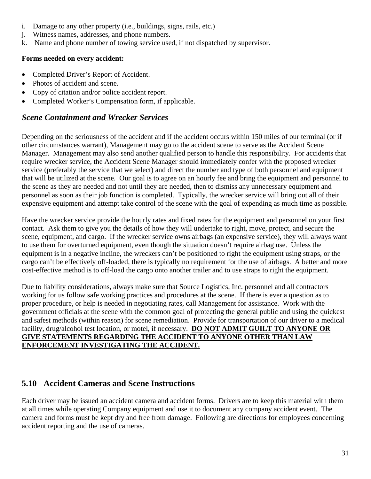- i. Damage to any other property (i.e., buildings, signs, rails, etc.)
- j. Witness names, addresses, and phone numbers.
- k. Name and phone number of towing service used, if not dispatched by supervisor.

#### **Forms needed on every accident:**

- Completed Driver's Report of Accident.
- Photos of accident and scene.
- Copy of citation and/or police accident report.
- Completed Worker's Compensation form, if applicable.

#### *Scene Containment and Wrecker Services*

Depending on the seriousness of the accident and if the accident occurs within 150 miles of our terminal (or if other circumstances warrant), Management may go to the accident scene to serve as the Accident Scene Manager. Management may also send another qualified person to handle this responsibility. For accidents that require wrecker service, the Accident Scene Manager should immediately confer with the proposed wrecker service (preferably the service that we select) and direct the number and type of both personnel and equipment that will be utilized at the scene. Our goal is to agree on an hourly fee and bring the equipment and personnel to the scene as they are needed and not until they are needed, then to dismiss any unnecessary equipment and personnel as soon as their job function is completed. Typically, the wrecker service will bring out all of their expensive equipment and attempt take control of the scene with the goal of expending as much time as possible.

Have the wrecker service provide the hourly rates and fixed rates for the equipment and personnel on your first contact. Ask them to give you the details of how they will undertake to right, move, protect, and secure the scene, equipment, and cargo. If the wrecker service owns airbags (an expensive service), they will always want to use them for overturned equipment, even though the situation doesn't require airbag use. Unless the equipment is in a negative incline, the wreckers can't be positioned to right the equipment using straps, or the cargo can't be effectively off-loaded, there is typically no requirement for the use of airbags. A better and more cost-effective method is to off-load the cargo onto another trailer and to use straps to right the equipment.

Due to liability considerations, always make sure that Source Logistics, Inc. personnel and all contractors working for us follow safe working practices and procedures at the scene. If there is ever a question as to proper procedure, or help is needed in negotiating rates, call Management for assistance. Work with the government officials at the scene with the common goal of protecting the general public and using the quickest and safest methods (within reason) for scene remediation. Provide for transportation of our driver to a medical facility, drug/alcohol test location, or motel, if necessary. **DO NOT ADMIT GUILT TO ANYONE OR GIVE STATEMENTS REGARDING THE ACCIDENT TO ANYONE OTHER THAN LAW ENFORCEMENT INVESTIGATING THE ACCIDENT.**

## **5.10 Accident Cameras and Scene Instructions**

Each driver may be issued an accident camera and accident forms. Drivers are to keep this material with them at all times while operating Company equipment and use it to document any company accident event. The camera and forms must be kept dry and free from damage. Following are directions for employees concerning accident reporting and the use of cameras.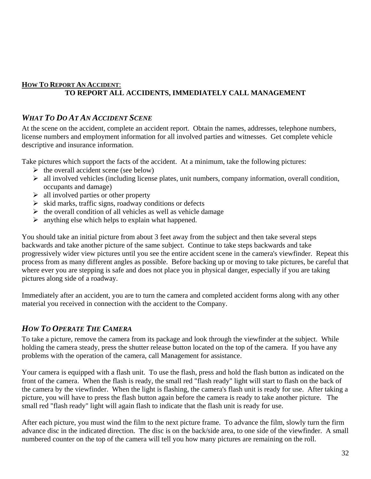#### **HOW TO REPORT AN ACCIDENT**: **TO REPORT ALL ACCIDENTS, IMMEDIATELY CALL MANAGEMENT**

#### *WHAT TO DO AT AN ACCIDENT SCENE*

At the scene on the accident, complete an accident report. Obtain the names, addresses, telephone numbers, license numbers and employment information for all involved parties and witnesses. Get complete vehicle descriptive and insurance information.

Take pictures which support the facts of the accident. At a minimum, take the following pictures:

- $\triangleright$  the overall accident scene (see below)
- $\triangleright$  all involved vehicles (including license plates, unit numbers, company information, overall condition, occupants and damage)
- $\triangleright$  all involved parties or other property
- $\triangleright$  skid marks, traffic signs, roadway conditions or defects
- $\triangleright$  the overall condition of all vehicles as well as vehicle damage
- $\triangleright$  anything else which helps to explain what happened.

You should take an initial picture from about 3 feet away from the subject and then take several steps backwards and take another picture of the same subject. Continue to take steps backwards and take progressively wider view pictures until you see the entire accident scene in the camera's viewfinder. Repeat this process from as many different angles as possible. Before backing up or moving to take pictures, be careful that where ever you are stepping is safe and does not place you in physical danger, especially if you are taking pictures along side of a roadway.

Immediately after an accident, you are to turn the camera and completed accident forms along with any other material you received in connection with the accident to the Company.

#### *HOW TO OPERATE THE CAMERA*

To take a picture, remove the camera from its package and look through the viewfinder at the subject. While holding the camera steady, press the shutter release button located on the top of the camera. If you have any problems with the operation of the camera, call Management for assistance.

Your camera is equipped with a flash unit. To use the flash, press and hold the flash button as indicated on the front of the camera. When the flash is ready, the small red "flash ready" light will start to flash on the back of the camera by the viewfinder. When the light is flashing, the camera's flash unit is ready for use. After taking a picture, you will have to press the flash button again before the camera is ready to take another picture. The small red "flash ready" light will again flash to indicate that the flash unit is ready for use.

After each picture, you must wind the film to the next picture frame. To advance the film, slowly turn the firm advance disc in the indicated direction. The disc is on the back/side area, to one side of the viewfinder. A small numbered counter on the top of the camera will tell you how many pictures are remaining on the roll.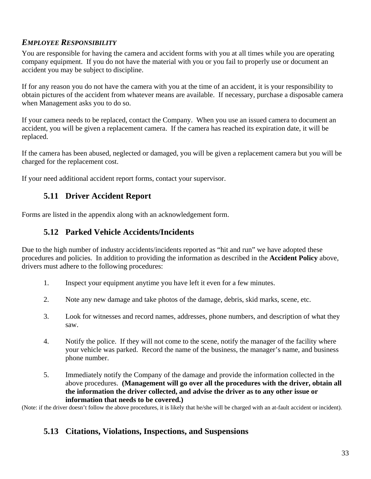#### *EMPLOYEE RESPONSIBILITY*

You are responsible for having the camera and accident forms with you at all times while you are operating company equipment. If you do not have the material with you or you fail to properly use or document an accident you may be subject to discipline.

If for any reason you do not have the camera with you at the time of an accident, it is your responsibility to obtain pictures of the accident from whatever means are available. If necessary, purchase a disposable camera when Management asks you to do so.

If your camera needs to be replaced, contact the Company. When you use an issued camera to document an accident, you will be given a replacement camera. If the camera has reached its expiration date, it will be replaced.

If the camera has been abused, neglected or damaged, you will be given a replacement camera but you will be charged for the replacement cost.

If your need additional accident report forms, contact your supervisor.

## **5.11 Driver Accident Report**

Forms are listed in the appendix along with an acknowledgement form.

## **5.12 Parked Vehicle Accidents/Incidents**

Due to the high number of industry accidents/incidents reported as "hit and run" we have adopted these procedures and policies. In addition to providing the information as described in the **Accident Policy** above, drivers must adhere to the following procedures:

- 1. Inspect your equipment anytime you have left it even for a few minutes.
- 2. Note any new damage and take photos of the damage, debris, skid marks, scene, etc.
- 3. Look for witnesses and record names, addresses, phone numbers, and description of what they saw.
- 4. Notify the police. If they will not come to the scene, notify the manager of the facility where your vehicle was parked. Record the name of the business, the manager's name, and business phone number.
- 5. Immediately notify the Company of the damage and provide the information collected in the above procedures. **(Management will go over all the procedures with the driver, obtain all the information the driver collected, and advise the driver as to any other issue or information that needs to be covered.)**

(Note: if the driver doesn't follow the above procedures, it is likely that he/she will be charged with an at-fault accident or incident).

#### **5.13 Citations, Violations, Inspections, and Suspensions**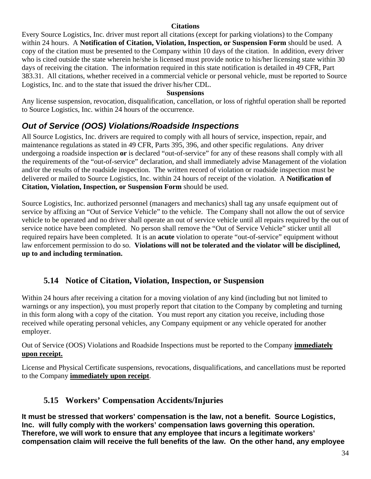#### **Citations**

Every Source Logistics, Inc. driver must report all citations (except for parking violations) to the Company within 24 hours. A **Notification of Citation, Violation, Inspection, or Suspension Form** should be used. A copy of the citation must be presented to the Company within 10 days of the citation. In addition, every driver who is cited outside the state wherein he/she is licensed must provide notice to his/her licensing state within 30 days of receiving the citation. The information required in this state notification is detailed in 49 CFR, Part 383.31. All citations, whether received in a commercial vehicle or personal vehicle, must be reported to Source Logistics, Inc. and to the state that issued the driver his/her CDL.

#### **Suspensions**

Any license suspension, revocation, disqualification, cancellation, or loss of rightful operation shall be reported to Source Logistics, Inc. within 24 hours of the occurrence.

## *Out of Service (OOS) Violations/Roadside Inspections*

All Source Logistics, Inc. drivers are required to comply with all hours of service, inspection, repair, and maintenance regulations as stated in 49 CFR, Parts 395, 396, and other specific regulations. Any driver undergoing a roadside inspection **or** is declared "out-of-service" for any of these reasons shall comply with all the requirements of the "out-of-service" declaration, and shall immediately advise Management of the violation and/or the results of the roadside inspection. The written record of violation or roadside inspection must be delivered or mailed to Source Logistics, Inc. within 24 hours of receipt of the violation. A **Notification of Citation, Violation, Inspection, or Suspension Form** should be used.

Source Logistics, Inc. authorized personnel (managers and mechanics) shall tag any unsafe equipment out of service by affixing an "Out of Service Vehicle" to the vehicle. The Company shall not allow the out of service vehicle to be operated and no driver shall operate an out of service vehicle until all repairs required by the out of service notice have been completed. No person shall remove the "Out of Service Vehicle" sticker until all required repairs have been completed. It is an **acute** violation to operate "out-of-service" equipment without law enforcement permission to do so. **Violations will not be tolerated and the violator will be disciplined, up to and including termination.**

#### **5.14 Notice of Citation, Violation, Inspection, or Suspension**

Within 24 hours after receiving a citation for a moving violation of any kind (including but not limited to warnings or any inspection), you must properly report that citation to the Company by completing and turning in this form along with a copy of the citation. You must report any citation you receive, including those received while operating personal vehicles, any Company equipment or any vehicle operated for another employer.

#### Out of Service (OOS) Violations and Roadside Inspections must be reported to the Company **immediately upon receipt.**

License and Physical Certificate suspensions, revocations, disqualifications, and cancellations must be reported to the Company **immediately upon receipt**.

## **5.15 Workers' Compensation Accidents/Injuries**

**It must be stressed that workers' compensation is the law, not a benefit. Source Logistics, Inc. will fully comply with the workers' compensation laws governing this operation. Therefore, we will work to ensure that any employee that incurs a legitimate workers' compensation claim will receive the full benefits of the law. On the other hand, any employee**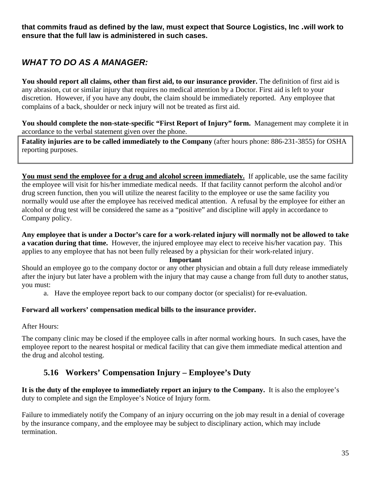**that commits fraud as defined by the law, must expect that Source Logistics, Inc** *.***will work to ensure that the full law is administered in such cases.** 

# *WHAT TO DO AS A MANAGER:*

**You should report all claims, other than first aid, to our insurance provider.** The definition of first aid is any abrasion, cut or similar injury that requires no medical attention by a Doctor. First aid is left to your discretion. However, if you have any doubt, the claim should be immediately reported. Any employee that complains of a back, shoulder or neck injury will not be treated as first aid.

**You should complete the non-state-specific "First Report of Injury" form.** Management may complete it in accordance to the verbal statement given over the phone.

**Fatality injuries are to be called immediately to the Company** (after hours phone: 886-231-3855) for OSHA reporting purposes.

**You must send the employee for a drug and alcohol screen immediately.** If applicable, use the same facility the employee will visit for his/her immediate medical needs. If that facility cannot perform the alcohol and/or drug screen function, then you will utilize the nearest facility to the employee or use the same facility you normally would use after the employee has received medical attention. A refusal by the employee for either an alcohol or drug test will be considered the same as a "positive" and discipline will apply in accordance to Company policy.

**Any employee that is under a Doctor's care for a work-related injury will normally not be allowed to take a vacation during that time.** However, the injured employee may elect to receive his/her vacation pay. This applies to any employee that has not been fully released by a physician for their work-related injury.

#### **Important**

Should an employee go to the company doctor or any other physician and obtain a full duty release immediately after the injury but later have a problem with the injury that may cause a change from full duty to another status, you must:

a. Have the employee report back to our company doctor (or specialist) for re-evaluation.

#### **Forward all workers' compensation medical bills to the insurance provider.**

After Hours:

The company clinic may be closed if the employee calls in after normal working hours. In such cases, have the employee report to the nearest hospital or medical facility that can give them immediate medical attention and the drug and alcohol testing.

## **5.16 Workers' Compensation Injury – Employee's Duty**

**It is the duty of the employee to immediately report an injury to the Company.** It is also the employee's duty to complete and sign the Employee's Notice of Injury form.

Failure to immediately notify the Company of an injury occurring on the job may result in a denial of coverage by the insurance company, and the employee may be subject to disciplinary action, which may include termination.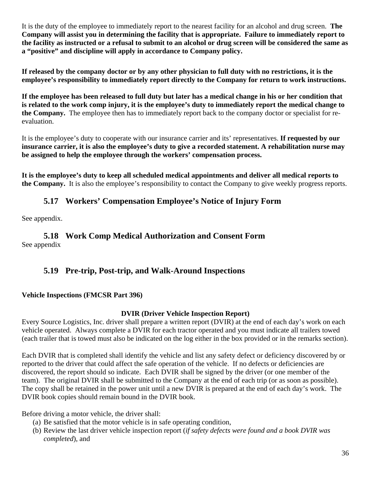It is the duty of the employee to immediately report to the nearest facility for an alcohol and drug screen. **The Company will assist you in determining the facility that is appropriate. Failure to immediately report to the facility as instructed or a refusal to submit to an alcohol or drug screen will be considered the same as a "positive" and discipline will apply in accordance to Company policy.** 

**If released by the company doctor or by any other physician to full duty with no restrictions, it is the employee's responsibility to immediately report directly to the Company for return to work instructions.**

**If the employee has been released to full duty but later has a medical change in his or her condition that is related to the work comp injury, it is the employee's duty to immediately report the medical change to the Company.** The employee then has to immediately report back to the company doctor or specialist for reevaluation.

It is the employee's duty to cooperate with our insurance carrier and its' representatives. **If requested by our insurance carrier, it is also the employee's duty to give a recorded statement. A rehabilitation nurse may be assigned to help the employee through the workers' compensation process.** 

**It is the employee's duty to keep all scheduled medical appointments and deliver all medical reports to the Company.** It is also the employee's responsibility to contact the Company to give weekly progress reports.

## **5.17 Workers' Compensation Employee's Notice of Injury Form**

See appendix.

#### **5.18 Work Comp Medical Authorization and Consent Form**  See appendix

## **5.19 Pre-trip, Post-trip, and Walk-Around Inspections**

#### **Vehicle Inspections (FMCSR Part 396)**

#### **DVIR (Driver Vehicle Inspection Report)**

Every Source Logistics, Inc. driver shall prepare a written report (DVIR) at the end of each day's work on each vehicle operated. Always complete a DVIR for each tractor operated and you must indicate all trailers towed (each trailer that is towed must also be indicated on the log either in the box provided or in the remarks section).

Each DVIR that is completed shall identify the vehicle and list any safety defect or deficiency discovered by or reported to the driver that could affect the safe operation of the vehicle. If no defects or deficiencies are discovered, the report should so indicate. Each DVIR shall be signed by the driver (or one member of the team). The original DVIR shall be submitted to the Company at the end of each trip (or as soon as possible). The copy shall be retained in the power unit until a new DVIR is prepared at the end of each day's work. The DVIR book copies should remain bound in the DVIR book.

Before driving a motor vehicle, the driver shall:

- (a) Be satisfied that the motor vehicle is in safe operating condition,
- (b) Review the last driver vehicle inspection report (*if safety defects were found and a book DVIR was completed*), and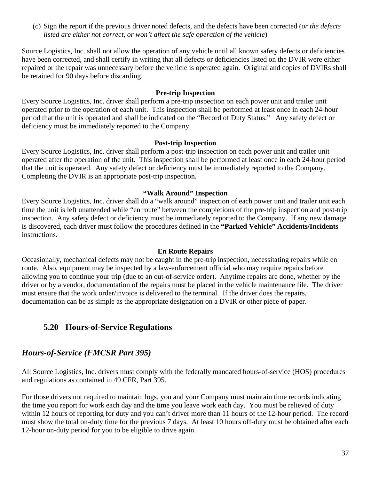(c) Sign the report if the previous driver noted defects, and the defects have been corrected (*or the defects listed are either not correct, or won't affect the safe operation of the vehicle*)

Source Logistics, Inc. shall not allow the operation of any vehicle until all known safety defects or deficiencies have been corrected, and shall certify in writing that all defects or deficiencies listed on the DVIR were either repaired or the repair was unnecessary before the vehicle is operated again. Original and copies of DVIRs shall be retained for 90 days before discarding.

#### **Pre-trip Inspection**

Every Source Logistics, Inc. driver shall perform a pre-trip inspection on each power unit and trailer unit operated prior to the operation of each unit. This inspection shall be performed at least once in each 24-hour period that the unit is operated and shall be indicated on the "Record of Duty Status." Any safety defect or deficiency must be immediately reported to the Company.

#### **Post-trip Inspection**

Every Source Logistics, Inc. driver shall perform a post-trip inspection on each power unit and trailer unit operated after the operation of the unit. This inspection shall be performed at least once in each 24-hour period that the unit is operated. Any safety defect or deficiency must be immediately reported to the Company. Completing the DVIR is an appropriate post-trip inspection.

#### **"Walk Around" Inspection**

Every Source Logistics, Inc. driver shall do a "walk around" inspection of each power unit and trailer unit each time the unit is left unattended while "en route" between the completions of the pre-trip inspection and post-trip inspection. Any safety defect or deficiency must be immediately reported to the Company. If any new damage is discovered, each driver must follow the procedures defined in the **"Parked Vehicle" Accidents/Incidents**  instructions.

#### **En Route Repairs**

Occasionally, mechanical defects may not be caught in the pre-trip inspection, necessitating repairs while en route. Also, equipment may be inspected by a law-enforcement official who may require repairs before allowing you to continue your trip (due to an out-of-service order). Anytime repairs are done, whether by the driver or by a vendor, documentation of the repairs must be placed in the vehicle maintenance file. The driver must ensure that the work order/invoice is delivered to the terminal. If the driver does the repairs, documentation can be as simple as the appropriate designation on a DVIR or other piece of paper.

#### **5.20 Hours-of-Service Regulations**

## *Hours-of-Service (FMCSR Part 395)*

All Source Logistics, Inc. drivers must comply with the federally mandated hours-of-service (HOS) procedures and regulations as contained in 49 CFR, Part 395.

For those drivers not required to maintain logs, you and your Company must maintain time records indicating the time you report for work each day and the time you leave work each day. You must be relieved of duty within 12 hours of reporting for duty and you can't driver more than 11 hours of the 12-hour period. The record must show the total on-duty time for the previous 7 days. At least 10 hours off-duty must be obtained after each 12-hour on-duty period for you to be eligible to drive again.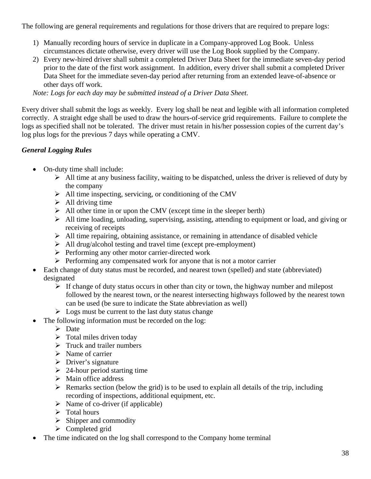The following are general requirements and regulations for those drivers that are required to prepare logs:

- 1) Manually recording hours of service in duplicate in a Company-approved Log Book. Unless circumstances dictate otherwise, every driver will use the Log Book supplied by the Company.
- 2) Every new-hired driver shall submit a completed Driver Data Sheet for the immediate seven-day period prior to the date of the first work assignment. In addition, every driver shall submit a completed Driver Data Sheet for the immediate seven-day period after returning from an extended leave-of-absence or other days off work.

*Note: Logs for each day may be submitted instead of a Driver Data Sheet.*

Every driver shall submit the logs as weekly. Every log shall be neat and legible with all information completed correctly. A straight edge shall be used to draw the hours-of-service grid requirements. Failure to complete the logs as specified shall not be tolerated. The driver must retain in his/her possession copies of the current day's log plus logs for the previous 7 days while operating a CMV.

#### *General Logging Rules*

- On-duty time shall include:
	- $\triangleright$  All time at any business facility, waiting to be dispatched, unless the driver is relieved of duty by the company
	- $\triangleright$  All time inspecting, servicing, or conditioning of the CMV
	- $\triangleright$  All driving time
	- $\triangleright$  All other time in or upon the CMV (except time in the sleeper berth)
	- $\triangleright$  All time loading, unloading, supervising, assisting, attending to equipment or load, and giving or receiving of receipts
	- $\triangleright$  All time repairing, obtaining assistance, or remaining in attendance of disabled vehicle
	- $\triangleright$  All drug/alcohol testing and travel time (except pre-employment)
	- $\triangleright$  Performing any other motor carrier-directed work
	- $\triangleright$  Performing any compensated work for anyone that is not a motor carrier
- Each change of duty status must be recorded, and nearest town (spelled) and state (abbreviated) designated
	- $\triangleright$  If change of duty status occurs in other than city or town, the highway number and milepost followed by the nearest town, or the nearest intersecting highways followed by the nearest town can be used (be sure to indicate the State abbreviation as well)
	- $\triangleright$  Logs must be current to the last duty status change
- The following information must be recorded on the log:
	- $\triangleright$  Date
	- $\triangleright$  Total miles driven today
	- $\triangleright$  Truck and trailer numbers
	- $\triangleright$  Name of carrier
	- $\triangleright$  Driver's signature
	- $\geq$  24-hour period starting time
	- $\triangleright$  Main office address
	- $\triangleright$  Remarks section (below the grid) is to be used to explain all details of the trip, including recording of inspections, additional equipment, etc.
	- $\triangleright$  Name of co-driver (if applicable)
	- $\triangleright$  Total hours
	- $\triangleright$  Shipper and commodity
	- $\triangleright$  Completed grid
- The time indicated on the log shall correspond to the Company home terminal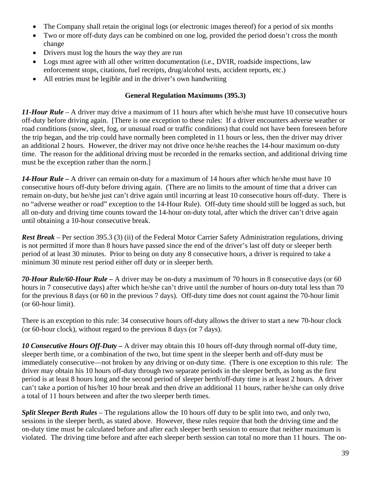- The Company shall retain the original logs (or electronic images thereof) for a period of six months
- Two or more off-duty days can be combined on one log, provided the period doesn't cross the month change
- Drivers must log the hours the way they are run
- Logs must agree with all other written documentation (i.e., DVIR, roadside inspections, law enforcement stops, citations, fuel receipts, drug/alcohol tests, accident reports, etc.)
- All entries must be legible and in the driver's own handwriting

#### **General Regulation Maximums (395.3)**

*11-Hour Rule* – A driver may drive a maximum of 11 hours after which he/she must have 10 consecutive hours off-duty before driving again. [There is one exception to these rules: If a driver encounters adverse weather or road conditions (snow, sleet, fog, or unusual road or traffic conditions) that could not have been foreseen before the trip began, and the trip could have normally been completed in 11 hours or less, then the driver may driver an additional 2 hours. However, the driver may not drive once he/she reaches the 14-hour maximum on-duty time. The reason for the additional driving must be recorded in the remarks section, and additional driving time must be the exception rather than the norm.]

*14-Hour Rule –* A driver can remain on-duty for a maximum of 14 hours after which he/she must have 10 consecutive hours off-duty before driving again. (There are no limits to the amount of time that a driver can remain on-duty, but he/she just can't drive again until incurring at least 10 consecutive hours off-duty. There is no "adverse weather or road" exception to the 14-Hour Rule). Off-duty time should still be logged as such, but all on-duty and driving time counts toward the 14-hour on-duty total, after which the driver can't drive again until obtaining a 10-hour consecutive break.

*Rest Break* – Per section 395.3 (3) (ii) of the Federal Motor Carrier Safety Administration regulations, driving is not permitted if more than 8 hours have passed since the end of the driver's last off duty or sleeper berth period of at least 30 minutes. Prior to being on duty any 8 consecutive hours, a driver is required to take a minimum 30 minute rest period either off duty or in sleeper berth.

*70-Hour Rule/60-Hour Rule –* A driver may be on-duty a maximum of 70 hours in 8 consecutive days (or 60 hours in 7 consecutive days) after which he/she can't drive until the number of hours on-duty total less than 70 for the previous 8 days (or 60 in the previous 7 days). Off-duty time does not count against the 70-hour limit (or 60-hour limit).

There is an exception to this rule: 34 consecutive hours off-duty allows the driver to start a new 70-hour clock (or 60-hour clock), without regard to the previous 8 days (or 7 days).

*10 Consecutive Hours Off-Duty –* A driver may obtain this 10 hours off-duty through normal off-duty time, sleeper berth time, or a combination of the two, but time spent in the sleeper berth and off-duty must be immediately consecutive—not broken by any driving or on-duty time. (There is one exception to this rule: The driver may obtain his 10 hours off-duty through two separate periods in the sleeper berth, as long as the first period is at least 8 hours long and the second period of sleeper berth/off-duty time is at least 2 hours. A driver can't take a portion of his/her 10 hour break and then drive an additional 11 hours, rather he/she can only drive a total of 11 hours between and after the two sleeper berth times.

*Split Sleeper Berth Rules* – The regulations allow the 10 hours off duty to be split into two, and only two, sessions in the sleeper berth, as stated above. However, these rules require that both the driving time and the on-duty time must be calculated before and after each sleeper berth session to ensure that neither maximum is violated. The driving time before and after each sleeper berth session can total no more than 11 hours. The on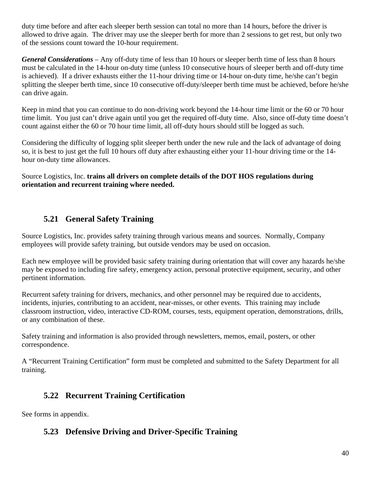duty time before and after each sleeper berth session can total no more than 14 hours, before the driver is allowed to drive again. The driver may use the sleeper berth for more than 2 sessions to get rest, but only two of the sessions count toward the 10-hour requirement.

*General Considerations* – Any off-duty time of less than 10 hours or sleeper berth time of less than 8 hours must be calculated in the 14-hour on-duty time (unless 10 consecutive hours of sleeper berth and off-duty time is achieved). If a driver exhausts either the 11-hour driving time or 14-hour on-duty time, he/she can't begin splitting the sleeper berth time, since 10 consecutive off-duty/sleeper berth time must be achieved, before he/she can drive again.

Keep in mind that you can continue to do non-driving work beyond the 14-hour time limit or the 60 or 70 hour time limit. You just can't drive again until you get the required off-duty time. Also, since off-duty time doesn't count against either the 60 or 70 hour time limit, all off-duty hours should still be logged as such.

Considering the difficulty of logging split sleeper berth under the new rule and the lack of advantage of doing so, it is best to just get the full 10 hours off duty after exhausting either your 11-hour driving time or the 14 hour on-duty time allowances.

Source Logistics, Inc. **trains all drivers on complete details of the DOT HOS regulations during orientation and recurrent training where needed.** 

## **5.21 General Safety Training**

Source Logistics, Inc. provides safety training through various means and sources. Normally, Company employees will provide safety training, but outside vendors may be used on occasion.

Each new employee will be provided basic safety training during orientation that will cover any hazards he/she may be exposed to including fire safety, emergency action, personal protective equipment, security, and other pertinent information.

Recurrent safety training for drivers, mechanics, and other personnel may be required due to accidents, incidents, injuries, contributing to an accident, near-misses, or other events. This training may include classroom instruction, video, interactive CD-ROM, courses, tests, equipment operation, demonstrations, drills, or any combination of these.

Safety training and information is also provided through newsletters, memos, email, posters, or other correspondence.

A "Recurrent Training Certification" form must be completed and submitted to the Safety Department for all training.

## **5.22 Recurrent Training Certification**

See forms in appendix.

## **5.23 Defensive Driving and Driver-Specific Training**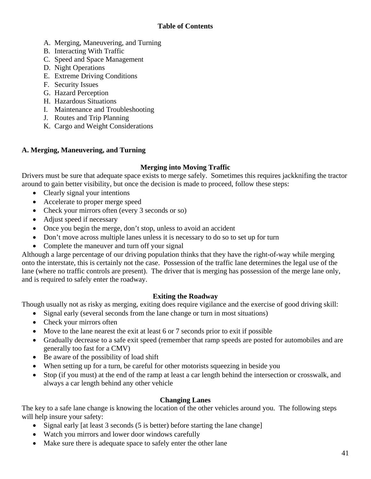#### **Table of Contents**

- A. Merging, Maneuvering, and Turning
- B. Interacting With Traffic
- C. Speed and Space Management
- D. Night Operations
- E. Extreme Driving Conditions
- F. Security Issues
- G. Hazard Perception
- H. Hazardous Situations
- I. Maintenance and Troubleshooting
- J. Routes and Trip Planning
- K. Cargo and Weight Considerations

#### **A. Merging, Maneuvering, and Turning**

#### **Merging into Moving Traffic**

Drivers must be sure that adequate space exists to merge safely. Sometimes this requires jackknifing the tractor around to gain better visibility, but once the decision is made to proceed, follow these steps:

- Clearly signal your intentions
- Accelerate to proper merge speed
- Check your mirrors often (every 3 seconds or so)
- Adjust speed if necessary
- Once you begin the merge, don't stop, unless to avoid an accident
- Don't move across multiple lanes unless it is necessary to do so to set up for turn
- Complete the maneuver and turn off your signal

Although a large percentage of our driving population thinks that they have the right-of-way while merging onto the interstate, this is certainly not the case. Possession of the traffic lane determines the legal use of the lane (where no traffic controls are present). The driver that is merging has possession of the merge lane only, and is required to safely enter the roadway.

#### **Exiting the Roadway**

Though usually not as risky as merging, exiting does require vigilance and the exercise of good driving skill:

- Signal early (several seconds from the lane change or turn in most situations)
- Check your mirrors often
- Move to the lane nearest the exit at least 6 or 7 seconds prior to exit if possible
- Gradually decrease to a safe exit speed (remember that ramp speeds are posted for automobiles and are generally too fast for a CMV)
- Be aware of the possibility of load shift
- When setting up for a turn, be careful for other motorists squeezing in beside you
- Stop (if you must) at the end of the ramp at least a car length behind the intersection or crosswalk, and always a car length behind any other vehicle

#### **Changing Lanes**

The key to a safe lane change is knowing the location of the other vehicles around you. The following steps will help insure your safety:

- Signal early [at least 3 seconds (5 is better) before starting the lane change]
- Watch you mirrors and lower door windows carefully
- Make sure there is adequate space to safely enter the other lane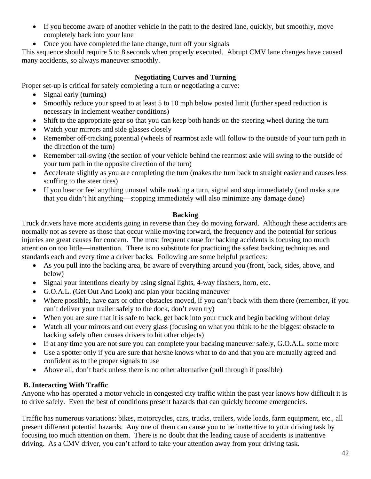- If you become aware of another vehicle in the path to the desired lane, quickly, but smoothly, move completely back into your lane
- Once you have completed the lane change, turn off your signals

This sequence should require 5 to 8 seconds when properly executed. Abrupt CMV lane changes have caused many accidents, so always maneuver smoothly.

#### **Negotiating Curves and Turning**

Proper set-up is critical for safely completing a turn or negotiating a curve:

- Signal early (turning)
- Smoothly reduce your speed to at least 5 to 10 mph below posted limit (further speed reduction is necessary in inclement weather conditions)
- Shift to the appropriate gear so that you can keep both hands on the steering wheel during the turn
- Watch your mirrors and side glasses closely
- Remember off-tracking potential (wheels of rearmost axle will follow to the outside of your turn path in the direction of the turn)
- Remember tail-swing (the section of your vehicle behind the rearmost axle will swing to the outside of your turn path in the opposite direction of the turn)
- Accelerate slightly as you are completing the turn (makes the turn back to straight easier and causes less scuffing to the steer tires)
- If you hear or feel anything unusual while making a turn, signal and stop immediately (and make sure that you didn't hit anything—stopping immediately will also minimize any damage done)

#### **Backing**

Truck drivers have more accidents going in reverse than they do moving forward. Although these accidents are normally not as severe as those that occur while moving forward, the frequency and the potential for serious injuries are great causes for concern. The most frequent cause for backing accidents is focusing too much attention on too little—inattention. There is no substitute for practicing the safest backing techniques and standards each and every time a driver backs. Following are some helpful practices:

- As you pull into the backing area, be aware of everything around you (front, back, sides, above, and below)
- Signal your intentions clearly by using signal lights, 4-way flashers, horn, etc.
- G.O.A.L. (Get Out And Look) and plan your backing maneuver
- Where possible, have cars or other obstacles moved, if you can't back with them there (remember, if you can't deliver your trailer safely to the dock, don't even try)
- When you are sure that it is safe to back, get back into your truck and begin backing without delay
- Watch all your mirrors and out every glass (focusing on what you think to be the biggest obstacle to backing safely often causes drivers to hit other objects)
- If at any time you are not sure you can complete your backing maneuver safely, G.O.A.L. some more
- Use a spotter only if you are sure that he/she knows what to do and that you are mutually agreed and confident as to the proper signals to use
- Above all, don't back unless there is no other alternative (pull through if possible)

#### **B. Interacting With Traffic**

Anyone who has operated a motor vehicle in congested city traffic within the past year knows how difficult it is to drive safely. Even the best of conditions present hazards that can quickly become emergencies.

Traffic has numerous variations: bikes, motorcycles, cars, trucks, trailers, wide loads, farm equipment, etc., all present different potential hazards. Any one of them can cause you to be inattentive to your driving task by focusing too much attention on them. There is no doubt that the leading cause of accidents is inattentive driving. As a CMV driver, you can't afford to take your attention away from your driving task.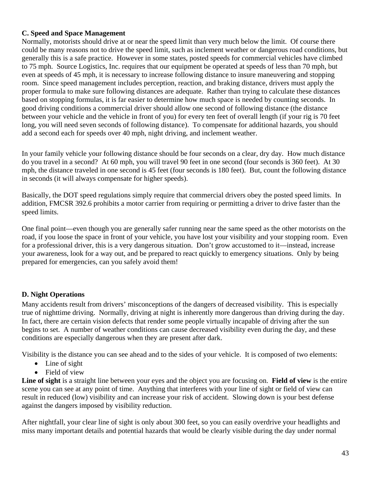#### **C. Speed and Space Management**

Normally, motorists should drive at or near the speed limit than very much below the limit. Of course there could be many reasons not to drive the speed limit, such as inclement weather or dangerous road conditions, but generally this is a safe practice. However in some states, posted speeds for commercial vehicles have climbed to 75 mph. Source Logistics, Inc. requires that our equipment be operated at speeds of less than 70 mph, but even at speeds of 45 mph, it is necessary to increase following distance to insure maneuvering and stopping room. Since speed management includes perception, reaction, and braking distance, drivers must apply the proper formula to make sure following distances are adequate. Rather than trying to calculate these distances based on stopping formulas, it is far easier to determine how much space is needed by counting seconds. In good driving conditions a commercial driver should allow one second of following distance (the distance between your vehicle and the vehicle in front of you) for every ten feet of overall length (if your rig is 70 feet long, you will need seven seconds of following distance). To compensate for additional hazards, you should add a second each for speeds over 40 mph, night driving, and inclement weather.

In your family vehicle your following distance should be four seconds on a clear, dry day. How much distance do you travel in a second? At 60 mph, you will travel 90 feet in one second (four seconds is 360 feet). At 30 mph, the distance traveled in one second is 45 feet (four seconds is 180 feet). But, count the following distance in seconds (it will always compensate for higher speeds).

Basically, the DOT speed regulations simply require that commercial drivers obey the posted speed limits. In addition, FMCSR 392.6 prohibits a motor carrier from requiring or permitting a driver to drive faster than the speed limits.

One final point—even though you are generally safer running near the same speed as the other motorists on the road, if you loose the space in front of your vehicle, you have lost your visibility and your stopping room. Even for a professional driver, this is a very dangerous situation. Don't grow accustomed to it—instead, increase your awareness, look for a way out, and be prepared to react quickly to emergency situations. Only by being prepared for emergencies, can you safely avoid them!

#### **D. Night Operations**

Many accidents result from drivers' misconceptions of the dangers of decreased visibility. This is especially true of nighttime driving. Normally, driving at night is inherently more dangerous than driving during the day. In fact, there are certain vision defects that render some people virtually incapable of driving after the sun begins to set. A number of weather conditions can cause decreased visibility even during the day, and these conditions are especially dangerous when they are present after dark.

Visibility is the distance you can see ahead and to the sides of your vehicle. It is composed of two elements:

- Line of sight
- Field of view

Line of sight is a straight line between your eyes and the object you are focusing on. **Field of view** is the entire scene you can see at any point of time.Anything that interferes with your line of sight or field of view can result in reduced (low) visibility and can increase your risk of accident. Slowing down is your best defense against the dangers imposed by visibility reduction.

After nightfall, your clear line of sight is only about 300 feet, so you can easily overdrive your headlights and miss many important details and potential hazards that would be clearly visible during the day under normal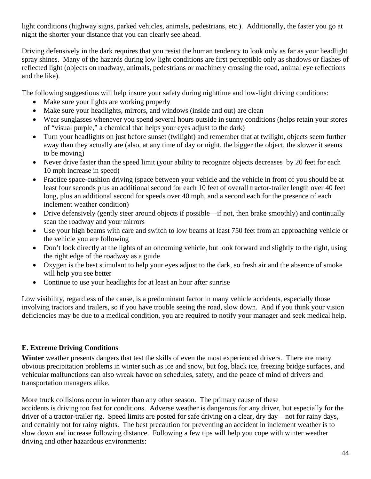light conditions (highway signs, parked vehicles, animals, pedestrians, etc.). Additionally, the faster you go at night the shorter your distance that you can clearly see ahead.

Driving defensively in the dark requires that you resist the human tendency to look only as far as your headlight spray shines. Many of the hazards during low light conditions are first perceptible only as shadows or flashes of reflected light (objects on roadway, animals, pedestrians or machinery crossing the road, animal eye reflections and the like).

The following suggestions will help insure your safety during nighttime and low-light driving conditions:

- Make sure your lights are working properly
- Make sure your headlights, mirrors, and windows (inside and out) are clean
- Wear sunglasses whenever you spend several hours outside in sunny conditions (helps retain your stores of "visual purple," a chemical that helps your eyes adjust to the dark)
- Turn your headlights on just before sunset (twilight) and remember that at twilight, objects seem further away than they actually are (also, at any time of day or night, the bigger the object, the slower it seems to be moving)
- Never drive faster than the speed limit (your ability to recognize objects decreases by 20 feet for each 10 mph increase in speed)
- Practice space-cushion driving (space between your vehicle and the vehicle in front of you should be at least four seconds plus an additional second for each 10 feet of overall tractor-trailer length over 40 feet long, plus an additional second for speeds over 40 mph, and a second each for the presence of each inclement weather condition)
- Drive defensively (gently steer around objects if possible—if not, then brake smoothly) and continually scan the roadway and your mirrors
- Use your high beams with care and switch to low beams at least 750 feet from an approaching vehicle or the vehicle you are following
- Don't look directly at the lights of an oncoming vehicle, but look forward and slightly to the right, using the right edge of the roadway as a guide
- Oxygen is the best stimulant to help your eyes adjust to the dark, so fresh air and the absence of smoke will help you see better
- Continue to use your headlights for at least an hour after sunrise

Low visibility, regardless of the cause, is a predominant factor in many vehicle accidents, especially those involving tractors and trailers, so if you have trouble seeing the road, slow down. And if you think your vision deficiencies may be due to a medical condition, you are required to notify your manager and seek medical help.

#### **E. Extreme Driving Conditions**

**Winter** weather presents dangers that test the skills of even the most experienced drivers. There are many obvious precipitation problems in winter such as ice and snow, but fog, black ice, freezing bridge surfaces, and vehicular malfunctions can also wreak havoc on schedules, safety, and the peace of mind of drivers and transportation managers alike.

More truck collisions occur in winter than any other season. The primary cause of these accidents is driving too fast for conditions. Adverse weather is dangerous for any driver, but especially for the driver of a tractor-trailer rig. Speed limits are posted for safe driving on a clear, dry day—not for rainy days, and certainly not for rainy nights. The best precaution for preventing an accident in inclement weather is to slow down and increase following distance. Following a few tips will help you cope with winter weather driving and other hazardous environments: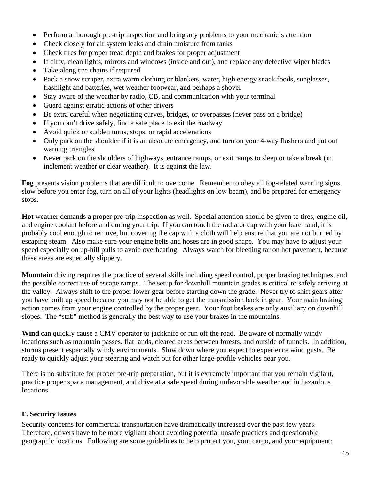- Perform a thorough pre-trip inspection and bring any problems to your mechanic's attention
- Check closely for air system leaks and drain moisture from tanks
- Check tires for proper tread depth and brakes for proper adjustment
- If dirty, clean lights, mirrors and windows (inside and out), and replace any defective wiper blades
- Take along tire chains if required
- Pack a snow scraper, extra warm clothing or blankets, water, high energy snack foods, sunglasses, flashlight and batteries, wet weather footwear, and perhaps a shovel
- Stay aware of the weather by radio, CB, and communication with your terminal
- Guard against erratic actions of other drivers
- Be extra careful when negotiating curves, bridges, or overpasses (never pass on a bridge)
- If you can't drive safely, find a safe place to exit the roadway
- Avoid quick or sudden turns, stops, or rapid accelerations
- Only park on the shoulder if it is an absolute emergency, and turn on your 4-way flashers and put out warning triangles
- Never park on the shoulders of highways, entrance ramps, or exit ramps to sleep or take a break (in inclement weather or clear weather). It is against the law.

**Fog** presents vision problems that are difficult to overcome. Remember to obey all fog-related warning signs, slow before you enter fog, turn on all of your lights (headlights on low beam), and be prepared for emergency stops.

**Hot** weather demands a proper pre-trip inspection as well. Special attention should be given to tires, engine oil, and engine coolant before and during your trip. If you can touch the radiator cap with your bare hand, it is probably cool enough to remove, but covering the cap with a cloth will help ensure that you are not burned by escaping steam. Also make sure your engine belts and hoses are in good shape. You may have to adjust your speed especially on up-hill pulls to avoid overheating. Always watch for bleeding tar on hot pavement, because these areas are especially slippery.

**Mountain** driving requires the practice of several skills including speed control, proper braking techniques, and the possible correct use of escape ramps. The setup for downhill mountain grades is critical to safely arriving at the valley. Always shift to the proper lower gear before starting down the grade. Never try to shift gears after you have built up speed because you may not be able to get the transmission back in gear. Your main braking action comes from your engine controlled by the proper gear. Your foot brakes are only auxiliary on downhill slopes. The "stab" method is generally the best way to use your brakes in the mountains.

**Wind** can quickly cause a CMV operator to jackknife or run off the road. Be aware of normally windy locations such as mountain passes, flat lands, cleared areas between forests, and outside of tunnels. In addition, storms present especially windy environments. Slow down where you expect to experience wind gusts. Be ready to quickly adjust your steering and watch out for other large-profile vehicles near you.

There is no substitute for proper pre-trip preparation, but it is extremely important that you remain vigilant, practice proper space management, and drive at a safe speed during unfavorable weather and in hazardous locations.

#### **F. Security Issues**

Security concerns for commercial transportation have dramatically increased over the past few years. Therefore, drivers have to be more vigilant about avoiding potential unsafe practices and questionable geographic locations. Following are some guidelines to help protect you, your cargo, and your equipment: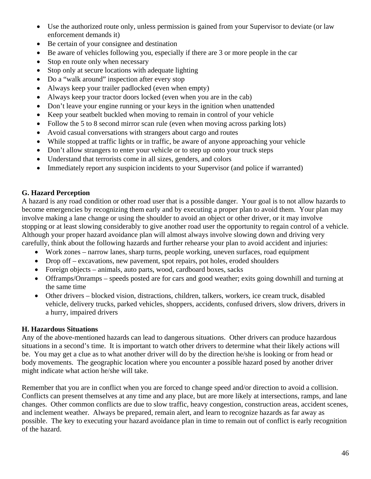- Use the authorized route only, unless permission is gained from your Supervisor to deviate (or law enforcement demands it)
- Be certain of your consignee and destination
- Be aware of vehicles following you, especially if there are 3 or more people in the car
- Stop en route only when necessary
- Stop only at secure locations with adequate lighting
- Do a "walk around" inspection after every stop
- Always keep your trailer padlocked (even when empty)
- Always keep your tractor doors locked (even when you are in the cab)
- Don't leave your engine running or your keys in the ignition when unattended
- Keep your seatbelt buckled when moving to remain in control of your vehicle
- Follow the 5 to 8 second mirror scan rule (even when moving across parking lots)
- Avoid casual conversations with strangers about cargo and routes
- While stopped at traffic lights or in traffic, be aware of anyone approaching your vehicle
- Don't allow strangers to enter your vehicle or to step up onto your truck steps
- Understand that terrorists come in all sizes, genders, and colors
- Immediately report any suspicion incidents to your Supervisor (and police if warranted)

#### **G. Hazard Perception**

A hazard is any road condition or other road user that is a possible danger. Your goal is to not allow hazards to become emergencies by recognizing them early and by executing a proper plan to avoid them. Your plan may involve making a lane change or using the shoulder to avoid an object or other driver, or it may involve stopping or at least slowing considerably to give another road user the opportunity to regain control of a vehicle. Although your proper hazard avoidance plan will almost always involve slowing down and driving very carefully, think about the following hazards and further rehearse your plan to avoid accident and injuries:

- Work zones narrow lanes, sharp turns, people working, uneven surfaces, road equipment
- Drop of f excavations, new pavement, spot repairs, pot holes, eroded shoulders
- Foreign objects animals, auto parts, wood, cardboard boxes, sacks
- Offramps/Onramps speeds posted are for cars and good weather; exits going downhill and turning at the same time
- Other drivers blocked vision, distractions, children, talkers, workers, ice cream truck, disabled vehicle, delivery trucks, parked vehicles, shoppers, accidents, confused drivers, slow drivers, drivers in a hurry, impaired drivers

#### **H. Hazardous Situations**

Any of the above-mentioned hazards can lead to dangerous situations. Other drivers can produce hazardous situations in a second's time. It is important to watch other drivers to determine what their likely actions will be. You may get a clue as to what another driver will do by the direction he/she is looking or from head or body movements. The geographic location where you encounter a possible hazard posed by another driver might indicate what action he/she will take.

Remember that you are in conflict when you are forced to change speed and/or direction to avoid a collision. Conflicts can present themselves at any time and any place, but are more likely at intersections, ramps, and lane changes. Other common conflicts are due to slow traffic, heavy congestion, construction areas, accident scenes, and inclement weather. Always be prepared, remain alert, and learn to recognize hazards as far away as possible. The key to executing your hazard avoidance plan in time to remain out of conflict is early recognition of the hazard.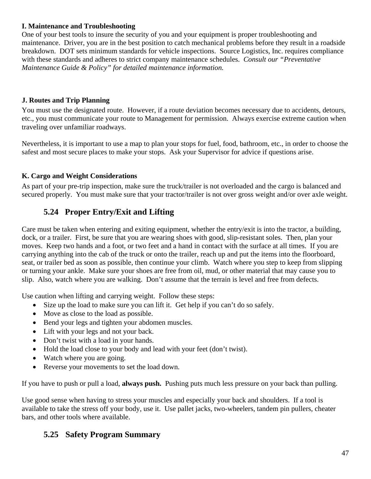#### **I. Maintenance and Troubleshooting**

One of your best tools to insure the security of you and your equipment is proper troubleshooting and maintenance. Driver, you are in the best position to catch mechanical problems before they result in a roadside breakdown. DOT sets minimum standards for vehicle inspections. Source Logistics, Inc. requires compliance with these standards and adheres to strict company maintenance schedules. *Consult our "Preventative Maintenance Guide & Policy" for detailed maintenance information.* 

#### **J. Routes and Trip Planning**

You must use the designated route. However, if a route deviation becomes necessary due to accidents, detours, etc., you must communicate your route to Management for permission. Always exercise extreme caution when traveling over unfamiliar roadways.

Nevertheless, it is important to use a map to plan your stops for fuel, food, bathroom, etc., in order to choose the safest and most secure places to make your stops. Ask your Supervisor for advice if questions arise.

#### **K. Cargo and Weight Considerations**

As part of your pre-trip inspection, make sure the truck/trailer is not overloaded and the cargo is balanced and secured properly. You must make sure that your tractor/trailer is not over gross weight and/or over axle weight.

## **5.24 Proper Entry/Exit and Lifting**

Care must be taken when entering and exiting equipment, whether the entry/exit is into the tractor, a building, dock, or a trailer. First, be sure that you are wearing shoes with good, slip-resistant soles. Then, plan your moves. Keep two hands and a foot, or two feet and a hand in contact with the surface at all times. If you are carrying anything into the cab of the truck or onto the trailer, reach up and put the items into the floorboard, seat, or trailer bed as soon as possible, then continue your climb. Watch where you step to keep from slipping or turning your ankle. Make sure your shoes are free from oil, mud, or other material that may cause you to slip. Also, watch where you are walking. Don't assume that the terrain is level and free from defects.

Use caution when lifting and carrying weight. Follow these steps:

- Size up the load to make sure you can lift it. Get help if you can't do so safely.
- Move as close to the load as possible.
- Bend your legs and tighten your abdomen muscles.
- Lift with your legs and not your back.
- Don't twist with a load in your hands.
- Hold the load close to your body and lead with your feet (don't twist).
- Watch where you are going.
- Reverse your movements to set the load down.

If you have to push or pull a load, **always push.** Pushing puts much less pressure on your back than pulling.

Use good sense when having to stress your muscles and especially your back and shoulders. If a tool is available to take the stress off your body, use it. Use pallet jacks, two-wheelers, tandem pin pullers, cheater bars, and other tools where available.

## **5.25 Safety Program Summary**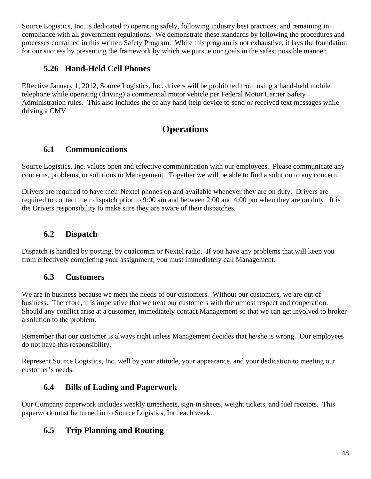Source Logistics, Inc. is dedicated to operating safely, following industry best practices, and remaining in compliance with all government regulations. We demonstrate these standards by following the procedures and processes contained in this written Safety Program. While this program is not exhaustive, it lays the foundation for our success by presenting the framework by which we pursue our goals in the safest possible manner.

## **5.26 Hand-Held Cell Phones**

Effective January 1, 2012, Source Logistics, Inc. drivers will be prohibited from using a hand-held mobile telephone while operating (driving) a commercial motor vehicle per Federal Motor Carrier Safety Administration rules. This also includes the of any hand-help device to send or received text messages while driving a CMV

# **Operations**

## **6.1 Communications**

Source Logistics, Inc. values open and effective communication with our employees. Please communicate any concerns, problems, or solutions to Management. Together we will be able to find a solution to any concern.

Drivers are required to have their Nextel phones on and available whenever they are on duty. Drivers are required to contact their dispatch prior to 9:00 am and between 2:00 and 4:00 pm when they are on duty. It is the Drivers responsibility to make sure they are aware of their dispatches.

## **6.2 Dispatch**

Dispatch is handled by posting, by qualcomm or Nextel radio. If you have any problems that will keep you from effectively completing your assignment, you must immediately call Management.

## **6.3 Customers**

We are in business because we meet the needs of our customers. Without our customers, we are out of business. Therefore, it is imperative that we treat our customers with the utmost respect and cooperation. Should any conflict arise at a customer, immediately contact Management so that we can get involved to broker a solution to the problem.

Remember that our customer is always right unless Management decides that he/she is wrong. Our employees do not have this responsibility.

Represent Source Logistics, Inc. well by your attitude, your appearance, and your dedication to meeting our customer's needs.

## **6.4 Bills of Lading and Paperwork**

Our Company paperwork includes weekly timesheets, sign-in sheets, weight tickets, and fuel receipts. This paperwork must be turned in to Source Logistics, Inc. each week.

## **6.5 Trip Planning and Routing**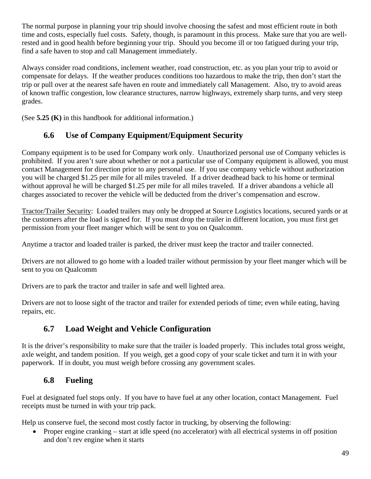The normal purpose in planning your trip should involve choosing the safest and most efficient route in both time and costs, especially fuel costs. Safety, though, is paramount in this process. Make sure that you are wellrested and in good health before beginning your trip. Should you become ill or too fatigued during your trip, find a safe haven to stop and call Management immediately.

Always consider road conditions, inclement weather, road construction, etc. as you plan your trip to avoid or compensate for delays. If the weather produces conditions too hazardous to make the trip, then don't start the trip or pull over at the nearest safe haven en route and immediately call Management. Also, try to avoid areas of known traffic congestion, low clearance structures, narrow highways, extremely sharp turns, and very steep grades.

(See **5.25 (K)** in this handbook for additional information.)

## **6.6 Use of Company Equipment/Equipment Security**

Company equipment is to be used for Company work only. Unauthorized personal use of Company vehicles is prohibited. If you aren't sure about whether or not a particular use of Company equipment is allowed, you must contact Management for direction prior to any personal use. If you use company vehicle without authorization you will be charged \$1.25 per mile for all miles traveled. If a driver deadhead back to his home or terminal without approval he will be charged \$1.25 per mile for all miles traveled. If a driver abandons a vehicle all charges associated to recover the vehicle will be deducted from the driver's compensation and escrow.

Tractor/Trailer Security: Loaded trailers may only be dropped at Source Logistics locations, secured yards or at the customers after the load is signed for. If you must drop the trailer in different location, you must first get permission from your fleet manger which will be sent to you on Qualcomm.

Anytime a tractor and loaded trailer is parked, the driver must keep the tractor and trailer connected.

Drivers are not allowed to go home with a loaded trailer without permission by your fleet manger which will be sent to you on Qualcomm

Drivers are to park the tractor and trailer in safe and well lighted area.

Drivers are not to loose sight of the tractor and trailer for extended periods of time; even while eating, having repairs, etc.

## **6.7 Load Weight and Vehicle Configuration**

It is the driver's responsibility to make sure that the trailer is loaded properly. This includes total gross weight, axle weight, and tandem position. If you weigh, get a good copy of your scale ticket and turn it in with your paperwork. If in doubt, you must weigh before crossing any government scales.

## **6.8 Fueling**

Fuel at designated fuel stops only. If you have to have fuel at any other location, contact Management. Fuel receipts must be turned in with your trip pack.

Help us conserve fuel, the second most costly factor in trucking, by observing the following:

• Proper engine cranking – start at idle speed (no accelerator) with all electrical systems in off position and don't rev engine when it starts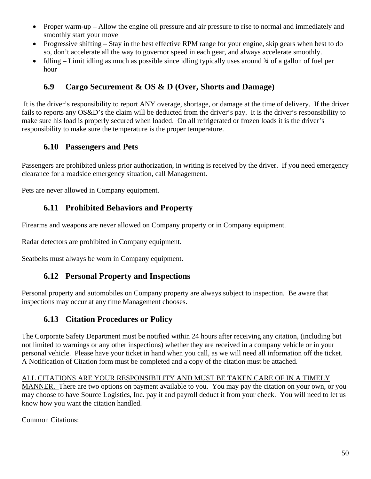- Proper warm-up Allow the engine oil pressure and air pressure to rise to normal and immediately and smoothly start your move
- Progressive shifting Stay in the best effective RPM range for your engine, skip gears when best to do so, don't accelerate all the way to governor speed in each gear, and always accelerate smoothly.
- Idling Limit idling as much as possible since idling typically uses around  $\frac{3}{4}$  of a gallon of fuel per hour

## **6.9 Cargo Securement & OS & D (Over, Shorts and Damage)**

 It is the driver's responsibility to report ANY overage, shortage, or damage at the time of delivery. If the driver fails to reports any OS&D's the claim will be deducted from the driver's pay. It is the driver's responsibility to make sure his load is properly secured when loaded. On all refrigerated or frozen loads it is the driver's responsibility to make sure the temperature is the proper temperature.

## **6.10 Passengers and Pets**

Passengers are prohibited unless prior authorization, in writing is received by the driver. If you need emergency clearance for a roadside emergency situation, call Management.

Pets are never allowed in Company equipment.

## **6.11 Prohibited Behaviors and Property**

Firearms and weapons are never allowed on Company property or in Company equipment.

Radar detectors are prohibited in Company equipment.

Seatbelts must always be worn in Company equipment.

#### **6.12 Personal Property and Inspections**

Personal property and automobiles on Company property are always subject to inspection. Be aware that inspections may occur at any time Management chooses.

#### **6.13 Citation Procedures or Policy**

The Corporate Safety Department must be notified within 24 hours after receiving any citation, (including but not limited to warnings or any other inspections) whether they are received in a company vehicle or in your personal vehicle. Please have your ticket in hand when you call, as we will need all information off the ticket. A Notification of Citation form must be completed and a copy of the citation must be attached.

#### ALL CITATIONS ARE YOUR RESPONSIBILITY AND MUST BE TAKEN CARE OF IN A TIMELY

MANNER. There are two options on payment available to you. You may pay the citation on your own, or you may choose to have Source Logistics, Inc. pay it and payroll deduct it from your check. You will need to let us know how you want the citation handled.

Common Citations: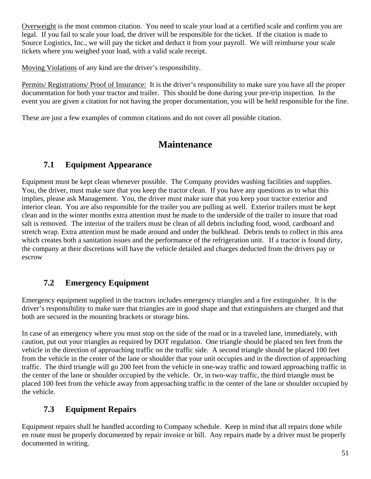Overweight is the most common citation. You need to scale your load at a certified scale and confirm you are legal. If you fail to scale your load, the driver will be responsible for the ticket. If the citation is made to Source Logistics, Inc., we will pay the ticket and deduct it from your payroll. We will reimburse your scale tickets where you weighed your load, with a valid scale receipt.

Moving Violations of any kind are the driver's responsibility.

Permits/ Registrations/ Proof of Insurance: It is the driver's responsibility to make sure you have all the proper documentation for both your tractor and trailer. This should be done during your pre-trip inspection. In the event you are given a citation for not having the proper documentation, you will be held responsible for the fine.

These are just a few examples of common citations and do not cover all possible citation.

# **Maintenance**

## **7.1 Equipment Appearance**

Equipment must be kept clean whenever possible. The Company provides washing facilities and supplies. You, the driver, must make sure that you keep the tractor clean. If you have any questions as to what this implies, please ask Management. You, the driver must make sure that you keep your tractor exterior and interior clean. You are also responsible for the trailer you are pulling as well. Exterior trailers must be kept clean and in the winter months extra attention must be made to the underside of the trailer to insure that road salt is removed. The interior of the trailers must be clean of all debris including food, wood, cardboard and stretch wrap. Extra attention must be made around and under the bulkhead. Debris tends to collect in this area which creates both a sanitation issues and the performance of the refrigeration unit. If a tractor is found dirty, the company at their discretions will have the vehicle detailed and charges deducted from the drivers pay or escrow

## **7.2 Emergency Equipment**

Emergency equipment supplied in the tractors includes emergency triangles and a fire extinguisher. It is the driver's responsibility to make sure that triangles are in good shape and that extinguishers are charged and that both are secured in the mounting brackets or storage bins.

In case of an emergency where you must stop on the side of the road or in a traveled lane, immediately, with caution, put out your triangles as required by DOT regulation. One triangle should be placed ten feet from the vehicle in the direction of approaching traffic on the traffic side. A second triangle should be placed 100 feet from the vehicle in the center of the lane or shoulder that your unit occupies and in the direction of approaching traffic. The third triangle will go 200 feet from the vehicle in one-way traffic and toward approaching traffic in the center of the lane or shoulder occupied by the vehicle. Or, in two-way traffic, the third triangle must be placed 100 feet from the vehicle away from approaching traffic in the center of the lane or shoulder occupied by the vehicle.

## **7.3 Equipment Repairs**

Equipment repairs shall be handled according to Company schedule. Keep in mind that all repairs done while en route must be properly documented by repair invoice or bill. Any repairs made by a driver must be properly documented in writing.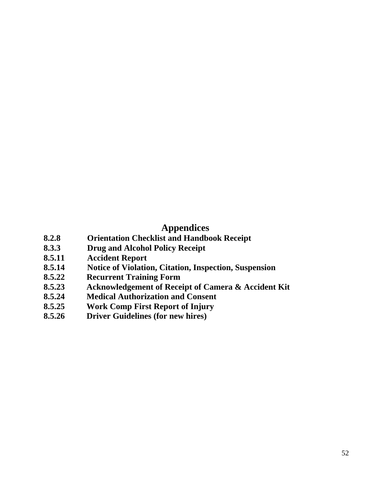# **Appendices**

- **8.2.8 Orientation Checklist and Handbook Receipt**
- **8.3.3 Drug and Alcohol Policy Receipt**
- **8.5.11 Accident Report**
- **8.5.14 Notice of Violation, Citation, Inspection, Suspension**
- **8.5.22 Recurrent Training Form**
- **8.5.23 Acknowledgement of Receipt of Camera & Accident Kit**
- **8.5.24 Medical Authorization and Consent**
- **8.5.25 Work Comp First Report of Injury**
- **8.5.26 Driver Guidelines (for new hires)**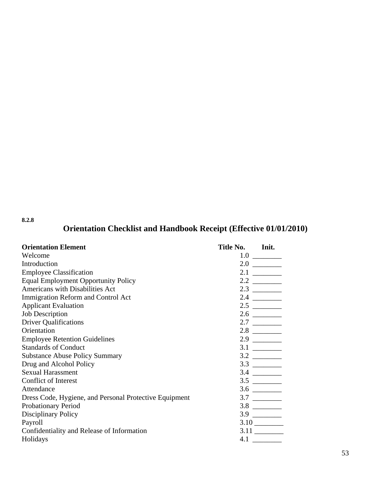#### **8.2.8**

# **Orientation Checklist and Handbook Receipt (Effective 01/01/2010)**

| <b>Orientation Element</b>                             | Title No. | Init. |
|--------------------------------------------------------|-----------|-------|
| Welcome                                                |           |       |
| Introduction                                           |           |       |
| <b>Employee Classification</b>                         |           |       |
| <b>Equal Employment Opportunity Policy</b>             |           |       |
| Americans with Disabilities Act                        |           |       |
| Immigration Reform and Control Act                     |           |       |
| <b>Applicant Evaluation</b>                            |           |       |
| <b>Job Description</b>                                 |           |       |
| <b>Driver Qualifications</b>                           |           |       |
| Orientation                                            |           |       |
| <b>Employee Retention Guidelines</b>                   |           |       |
| <b>Standards of Conduct</b>                            |           |       |
| <b>Substance Abuse Policy Summary</b>                  |           |       |
| Drug and Alcohol Policy                                |           |       |
| <b>Sexual Harassment</b>                               |           |       |
| <b>Conflict of Interest</b>                            |           |       |
| Attendance                                             |           |       |
| Dress Code, Hygiene, and Personal Protective Equipment |           |       |
| <b>Probationary Period</b>                             |           |       |
| <b>Disciplinary Policy</b>                             |           |       |
| Payroll                                                |           |       |
| Confidentiality and Release of Information             |           |       |
| Holidays                                               | 4.1       |       |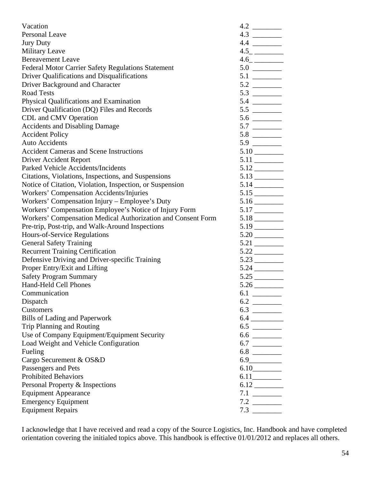| Vacation                                                     |                              |
|--------------------------------------------------------------|------------------------------|
| <b>Personal Leave</b>                                        |                              |
| <b>Jury Duty</b>                                             |                              |
| <b>Military Leave</b>                                        | 4.5                          |
| <b>Bereavement Leave</b>                                     |                              |
| Federal Motor Carrier Safety Regulations Statement           |                              |
| Driver Qualifications and Disqualifications                  |                              |
| Driver Background and Character                              |                              |
| <b>Road Tests</b>                                            |                              |
| Physical Qualifications and Examination                      |                              |
| Driver Qualification (DQ) Files and Records                  |                              |
| CDL and CMV Operation                                        |                              |
| <b>Accidents and Disabling Damage</b>                        |                              |
| <b>Accident Policy</b>                                       |                              |
| <b>Auto Accidents</b>                                        |                              |
| <b>Accident Cameras and Scene Instructions</b>               |                              |
| <b>Driver Accident Report</b>                                |                              |
| Parked Vehicle Accidents/Incidents                           | $5.12$ <sub>----------</sub> |
| Citations, Violations, Inspections, and Suspensions          |                              |
| Notice of Citation, Violation, Inspection, or Suspension     |                              |
| Workers' Compensation Accidents/Injuries                     |                              |
| Workers' Compensation Injury – Employee's Duty               |                              |
| Workers' Compensation Employee's Notice of Injury Form       |                              |
| Workers' Compensation Medical Authorization and Consent Form |                              |
| Pre-trip, Post-trip, and Walk-Around Inspections             |                              |
| Hours-of-Service Regulations                                 |                              |
| <b>General Safety Training</b>                               |                              |
| <b>Recurrent Training Certification</b>                      |                              |
| Defensive Driving and Driver-specific Training               |                              |
| Proper Entry/Exit and Lifting                                |                              |
| <b>Safety Program Summary</b>                                |                              |
| Hand-Held Cell Phones                                        |                              |
| Communication                                                |                              |
| Dispatch                                                     |                              |
| Customers                                                    |                              |
| <b>Bills of Lading and Paperwork</b>                         |                              |
| Trip Planning and Routing                                    |                              |
| Use of Company Equipment/Equipment Security                  |                              |
| Load Weight and Vehicle Configuration                        |                              |
| Fueling                                                      |                              |
| Cargo Securement & OS&D                                      | 6.9                          |
| Passengers and Pets                                          |                              |
| <b>Prohibited Behaviors</b>                                  |                              |
| Personal Property & Inspections                              |                              |
| <b>Equipment Appearance</b>                                  |                              |
| <b>Emergency Equipment</b>                                   |                              |
| <b>Equipment Repairs</b>                                     |                              |

I acknowledge that I have received and read a copy of the Source Logistics, Inc. Handbook and have completed orientation covering the initialed topics above. This handbook is effective 01/01/2012 and replaces all others.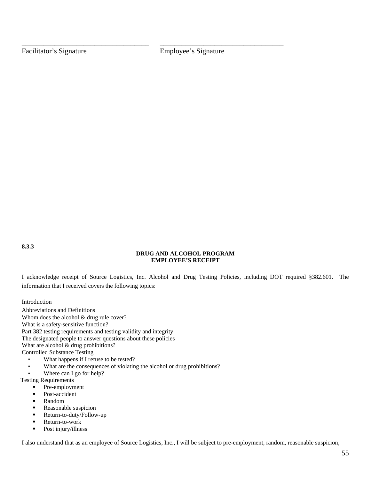Facilitator's Signature **Employee's Signature** 

\_\_\_\_\_\_\_\_\_\_\_\_\_\_\_\_\_\_\_\_\_\_\_\_\_\_\_\_\_\_\_\_\_\_\_ \_\_\_\_\_\_\_\_\_\_\_\_\_\_\_\_\_\_\_\_\_\_\_\_\_\_\_\_\_\_\_\_\_\_

**8.3.3** 

#### **DRUG AND ALCOHOL PROGRAM EMPLOYEE'S RECEIPT**

I acknowledge receipt of Source Logistics, Inc. Alcohol and Drug Testing Policies, including DOT required §382.601. The information that I received covers the following topics:

Introduction

Abbreviations and Definitions Whom does the alcohol  $&$  drug rule cover? What is a safety-sensitive function? Part 382 testing requirements and testing validity and integrity The designated people to answer questions about these policies What are alcohol & drug prohibitions? Controlled Substance Testing

- What happens if I refuse to be tested?
- What are the consequences of violating the alcohol or drug prohibitions?
- Where can I go for help?

Testing Requirements

- **•** Pre-employment
- Post-accident
- **Random**
- **Reasonable suspicion**
- Return-to-duty/Follow-up
- Return-to-work<br>Post injury/illne
- Post injury/illness

I also understand that as an employee of Source Logistics, Inc., I will be subject to pre-employment, random, reasonable suspicion,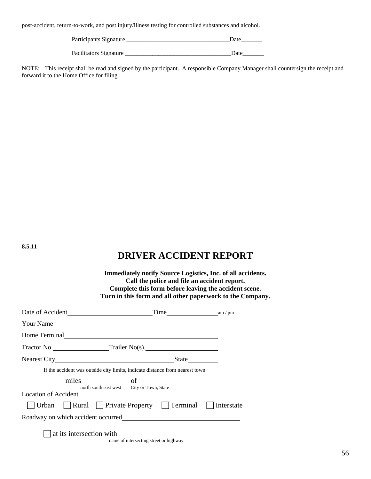post-accident, return-to-work, and post injury/illness testing for controlled substances and alcohol.

Participants Signature \_\_\_\_\_\_\_\_\_\_\_\_\_\_\_\_\_\_\_\_\_\_\_\_\_\_\_\_\_\_\_\_\_\_Date\_\_\_\_\_\_\_

Facilitators Signature \_\_\_\_\_\_\_\_\_\_\_\_\_\_\_\_\_\_\_\_\_\_\_\_\_\_\_\_\_\_\_\_\_\_\_Date\_\_\_\_\_\_\_

NOTE: This receipt shall be read and signed by the participant. A responsible Company Manager shall countersign the receipt and forward it to the Home Office for filing.

**8.5.11** 

## **DRIVER ACCIDENT REPORT**

|                                                                                                                |                                                                              | <b>Immediately notify Source Logistics, Inc. of all accidents.</b><br>Call the police and file an accident report.<br>Complete this form before leaving the accident scene.<br>Turn in this form and all other paperwork to the Company. |
|----------------------------------------------------------------------------------------------------------------|------------------------------------------------------------------------------|------------------------------------------------------------------------------------------------------------------------------------------------------------------------------------------------------------------------------------------|
|                                                                                                                |                                                                              |                                                                                                                                                                                                                                          |
| Your Name                                                                                                      |                                                                              |                                                                                                                                                                                                                                          |
| Home Terminal Manual Manual Manual Manual Manual Manual Manual Manual Manual Manual Manual Manual Manual Manua |                                                                              |                                                                                                                                                                                                                                          |
| Tractor No. Tractor No. Trailer No(s).                                                                         |                                                                              |                                                                                                                                                                                                                                          |
| Nearest City State State                                                                                       |                                                                              |                                                                                                                                                                                                                                          |
|                                                                                                                | If the accident was outside city limits, indicate distance from nearest town |                                                                                                                                                                                                                                          |
|                                                                                                                | miles of <u>containing</u> of <u>containing</u>                              |                                                                                                                                                                                                                                          |
| <b>Location of Accident</b>                                                                                    | north south east west City or Town, State                                    |                                                                                                                                                                                                                                          |
| Urban Rural Private Property Terminal Interstate                                                               |                                                                              |                                                                                                                                                                                                                                          |
|                                                                                                                |                                                                              |                                                                                                                                                                                                                                          |
|                                                                                                                | at its intersection with<br>name of intersecting street or highway           |                                                                                                                                                                                                                                          |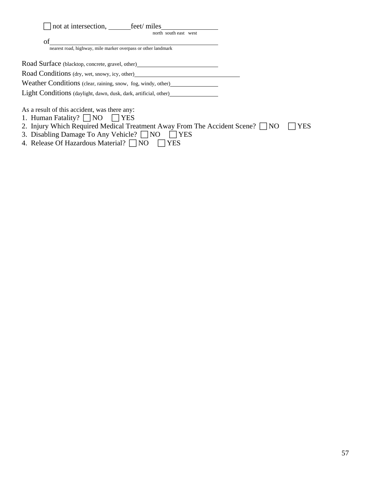| not at intersection, feet/miles<br>north south east west                         |  |
|----------------------------------------------------------------------------------|--|
| of<br>nearest road, highway, mile marker overpass or other landmark              |  |
|                                                                                  |  |
| Road Surface (blacktop, concrete, gravel, other)________________________________ |  |
| Road Conditions (dry, wet, snowy, icy, other)                                    |  |
| Weather Conditions (clear, raining, snow, fog, windy, other)                     |  |
| Light Conditions (daylight, dawn, dusk, dark, artificial, other)                 |  |
| As a result of this accident, was there any:                                     |  |
| 1. Human Fatality?     NO<br>I IYES<br>.                                         |  |

- 2. Injury Which Required Medical Treatment Away From The Accident Scene?  $\Box$  NO  $\Box$  YES
- 3. Disabling Damage To Any Vehicle?  $\Box$  NO  $\Box$  YES
- 4. Release Of Hazardous Material?  $\Box$  NO  $\Box$  YES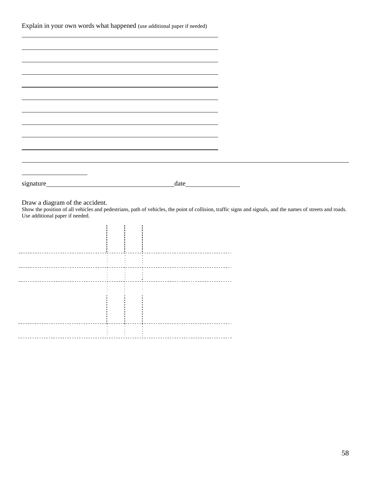|  |  |  | Explain in your own words what happened (use additional paper if needed) |  |  |
|--|--|--|--------------------------------------------------------------------------|--|--|
|--|--|--|--------------------------------------------------------------------------|--|--|

|                                                                                                                                                                                                                                                                                                                  | $\frac{1}{2}$ |  |  |  |  |
|------------------------------------------------------------------------------------------------------------------------------------------------------------------------------------------------------------------------------------------------------------------------------------------------------------------|---------------|--|--|--|--|
|                                                                                                                                                                                                                                                                                                                  |               |  |  |  |  |
|                                                                                                                                                                                                                                                                                                                  |               |  |  |  |  |
|                                                                                                                                                                                                                                                                                                                  |               |  |  |  |  |
|                                                                                                                                                                                                                                                                                                                  |               |  |  |  |  |
|                                                                                                                                                                                                                                                                                                                  |               |  |  |  |  |
|                                                                                                                                                                                                                                                                                                                  |               |  |  |  |  |
|                                                                                                                                                                                                                                                                                                                  |               |  |  |  |  |
|                                                                                                                                                                                                                                                                                                                  |               |  |  |  |  |
|                                                                                                                                                                                                                                                                                                                  |               |  |  |  |  |
| Draw a diagram of the accident.<br>Show the position of all vehicles and pedestrians, path of vehicles, the point of collision, traffic signs and signals, and the names of streets and roads.<br>Use additional paper if needed.<br>--------------------------------------<br>--------------------------------- |               |  |  |  |  |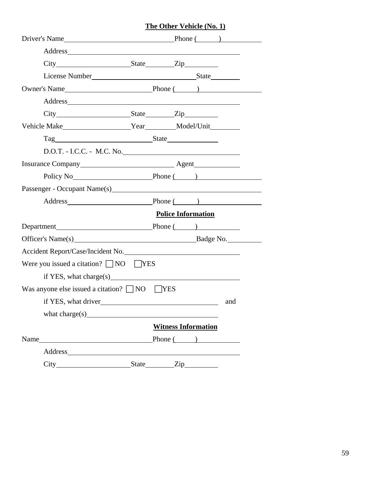#### **The Other Vehicle (No. 1)**

|                                                                                                                               | Driver's Name Phone ( )                                                                                                                                                                                                        |
|-------------------------------------------------------------------------------------------------------------------------------|--------------------------------------------------------------------------------------------------------------------------------------------------------------------------------------------------------------------------------|
|                                                                                                                               | Address and the state of the state of the state of the state of the state of the state of the state of the state of the state of the state of the state of the state of the state of the state of the state of the state of th |
|                                                                                                                               |                                                                                                                                                                                                                                |
|                                                                                                                               |                                                                                                                                                                                                                                |
|                                                                                                                               |                                                                                                                                                                                                                                |
|                                                                                                                               |                                                                                                                                                                                                                                |
|                                                                                                                               |                                                                                                                                                                                                                                |
|                                                                                                                               |                                                                                                                                                                                                                                |
| Tag State State                                                                                                               |                                                                                                                                                                                                                                |
|                                                                                                                               |                                                                                                                                                                                                                                |
|                                                                                                                               |                                                                                                                                                                                                                                |
|                                                                                                                               | Policy No Phone ( )                                                                                                                                                                                                            |
|                                                                                                                               |                                                                                                                                                                                                                                |
|                                                                                                                               | Address Phone ( )                                                                                                                                                                                                              |
|                                                                                                                               | <b>Police Information</b>                                                                                                                                                                                                      |
| Department Phone ( )                                                                                                          |                                                                                                                                                                                                                                |
|                                                                                                                               | Officer's Name(s) Badge No.                                                                                                                                                                                                    |
| Accident Report/Case/Incident No.                                                                                             |                                                                                                                                                                                                                                |
| Were you issued a citation? $\Box$ NO $\Box$ YES                                                                              |                                                                                                                                                                                                                                |
| if YES, what charge(s)                                                                                                        |                                                                                                                                                                                                                                |
| Was anyone else issued a citation? $\Box$ NO $\Box$ YES                                                                       |                                                                                                                                                                                                                                |
| if YES, what driver                                                                                                           | and                                                                                                                                                                                                                            |
|                                                                                                                               |                                                                                                                                                                                                                                |
|                                                                                                                               | <b>Witness Information</b>                                                                                                                                                                                                     |
| Name<br><u> 1989 - John Stein, mars and de Brandenberg and de Brandenberg and de Brandenberg and de Brandenberg and de Br</u> | Phone $\qquad \qquad$                                                                                                                                                                                                          |
|                                                                                                                               |                                                                                                                                                                                                                                |
|                                                                                                                               | City State Zip                                                                                                                                                                                                                 |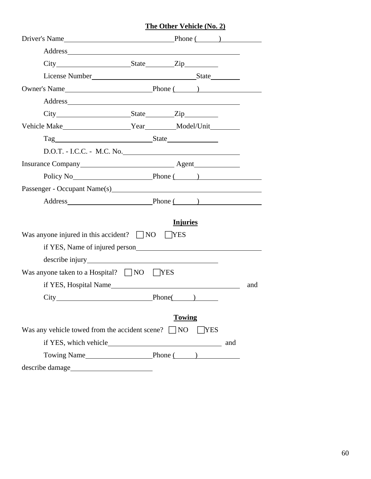#### **The Other Vehicle (No. 2)**

| Driver's Name Phone ( )                                                                                                                                                                                                        |                 |            |     |
|--------------------------------------------------------------------------------------------------------------------------------------------------------------------------------------------------------------------------------|-----------------|------------|-----|
|                                                                                                                                                                                                                                |                 |            |     |
|                                                                                                                                                                                                                                |                 |            |     |
|                                                                                                                                                                                                                                |                 |            |     |
| Owner's Name <b>Solution</b> Solution Phone (Section 2014) $\frac{1}{2}$                                                                                                                                                       |                 |            |     |
| Address and the contract of the contract of the contract of the contract of the contract of the contract of the contract of the contract of the contract of the contract of the contract of the contract of the contract of th |                 |            |     |
|                                                                                                                                                                                                                                |                 |            |     |
|                                                                                                                                                                                                                                |                 |            |     |
| Tag State State                                                                                                                                                                                                                |                 |            |     |
| D.O.T. - I.C.C. - M.C. No.                                                                                                                                                                                                     |                 |            |     |
|                                                                                                                                                                                                                                |                 |            |     |
| Policy No Phone ( )                                                                                                                                                                                                            |                 |            |     |
|                                                                                                                                                                                                                                |                 |            |     |
| Address Phone ( )                                                                                                                                                                                                              |                 |            |     |
|                                                                                                                                                                                                                                |                 |            |     |
|                                                                                                                                                                                                                                | <b>Injuries</b> |            |     |
| Was anyone injured in this accident? $\Box$ NO $\Box$ YES                                                                                                                                                                      |                 |            |     |
|                                                                                                                                                                                                                                |                 |            |     |
|                                                                                                                                                                                                                                |                 |            |     |
| Was anyone taken to a Hospital? $\Box$ NO $\Box$ YES                                                                                                                                                                           |                 |            |     |
| if YES, Hospital Name                                                                                                                                                                                                          |                 |            | and |
|                                                                                                                                                                                                                                |                 |            |     |
|                                                                                                                                                                                                                                | <b>Towing</b>   |            |     |
| Was any vehicle towed from the accident scene? $\Box$ NO                                                                                                                                                                       |                 | <b>YES</b> |     |
|                                                                                                                                                                                                                                |                 | and        |     |
|                                                                                                                                                                                                                                |                 |            |     |
|                                                                                                                                                                                                                                |                 |            |     |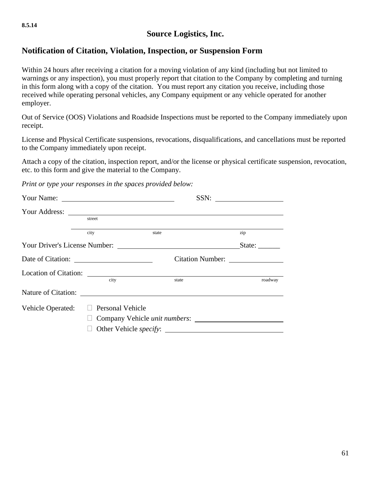## **Source Logistics, Inc.**

#### **Notification of Citation, Violation, Inspection, or Suspension Form**

Within 24 hours after receiving a citation for a moving violation of any kind (including but not limited to warnings or any inspection), you must properly report that citation to the Company by completing and turning in this form along with a copy of the citation. You must report any citation you receive, including those received while operating personal vehicles, any Company equipment or any vehicle operated for another employer.

Out of Service (OOS) Violations and Roadside Inspections must be reported to the Company immediately upon receipt.

License and Physical Certificate suspensions, revocations, disqualifications, and cancellations must be reported to the Company immediately upon receipt.

Attach a copy of the citation, inspection report, and/or the license or physical certificate suspension, revocation, etc. to this form and give the material to the Company.

*Print or type your responses in the spaces provided below:*

|                   | street                            |                                       |                                                                            |
|-------------------|-----------------------------------|---------------------------------------|----------------------------------------------------------------------------|
|                   | city                              | state                                 | zip                                                                        |
|                   |                                   |                                       | State: $\frac{1}{\sqrt{1-\frac{1}{2}}\cdot\frac{1}{\sqrt{1-\frac{1}{2}}}}$ |
|                   |                                   |                                       |                                                                            |
|                   |                                   |                                       |                                                                            |
|                   | city                              | state                                 | roadway                                                                    |
|                   |                                   |                                       |                                                                            |
| Vehicle Operated: | <b>Personal Vehicle</b><br>$\Box$ |                                       |                                                                            |
|                   |                                   | Company Vehicle <i>unit numbers</i> : |                                                                            |
|                   |                                   | Other Vehicle specify:                |                                                                            |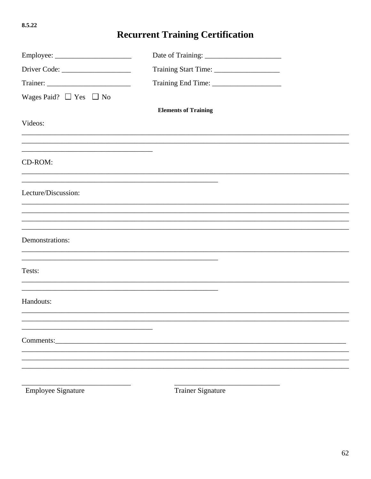# **Recurrent Training Certification**

| Wages Paid? $\Box$ Yes $\Box$ No |                                                             |  |
|----------------------------------|-------------------------------------------------------------|--|
|                                  | <b>Elements of Training</b>                                 |  |
| Videos:                          |                                                             |  |
|                                  |                                                             |  |
|                                  |                                                             |  |
| CD-ROM:                          |                                                             |  |
|                                  |                                                             |  |
| Lecture/Discussion:              |                                                             |  |
|                                  |                                                             |  |
|                                  |                                                             |  |
| Demonstrations:                  | <u> 1989 - Johann Stoff, amerikansk politiker (d. 1989)</u> |  |
| Tests:                           |                                                             |  |
|                                  |                                                             |  |
| Handouts:                        |                                                             |  |
|                                  |                                                             |  |
|                                  |                                                             |  |
| Comments:                        |                                                             |  |
|                                  |                                                             |  |
|                                  |                                                             |  |
|                                  |                                                             |  |
| <b>Employee Signature</b>        | <b>Trainer Signature</b>                                    |  |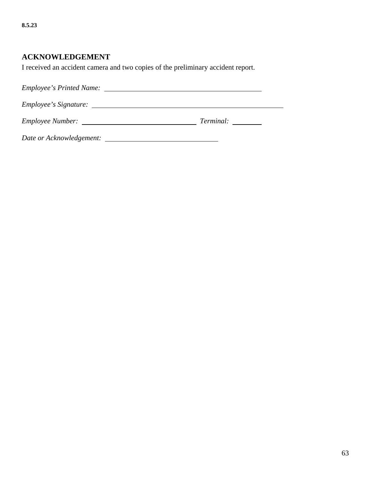#### **ACKNOWLEDGEMENT**

I received an accident camera and two copies of the preliminary accident report.

*Employee's Printed Name: Employee's Signature: Employee Number: Terminal:* 

*Date or Acknowledgement:*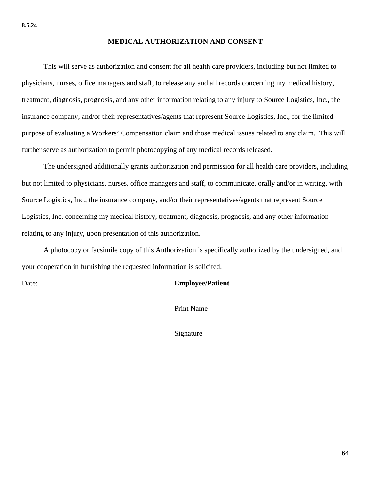#### **MEDICAL AUTHORIZATION AND CONSENT**

 This will serve as authorization and consent for all health care providers, including but not limited to physicians, nurses, office managers and staff, to release any and all records concerning my medical history, treatment, diagnosis, prognosis, and any other information relating to any injury to Source Logistics, Inc., the insurance company, and/or their representatives/agents that represent Source Logistics, Inc., for the limited purpose of evaluating a Workers' Compensation claim and those medical issues related to any claim. This will further serve as authorization to permit photocopying of any medical records released.

 The undersigned additionally grants authorization and permission for all health care providers, including but not limited to physicians, nurses, office managers and staff, to communicate, orally and/or in writing, with Source Logistics, Inc., the insurance company, and/or their representatives/agents that represent Source Logistics, Inc. concerning my medical history, treatment, diagnosis, prognosis, and any other information relating to any injury, upon presentation of this authorization.

A photocopy or facsimile copy of this Authorization is specifically authorized by the undersigned, and your cooperation in furnishing the requested information is solicited.

Date: **Employee/Patient** 

\_\_\_\_\_\_\_\_\_\_\_\_\_\_\_\_\_\_\_\_\_\_\_\_\_\_\_\_\_\_

\_\_\_\_\_\_\_\_\_\_\_\_\_\_\_\_\_\_\_\_\_\_\_\_\_\_\_\_\_\_

Print Name

Signature